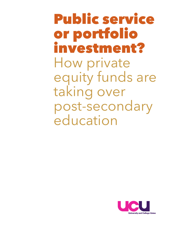**Public service or portfolio investment??** How private equity funds are taking over post-secondary education

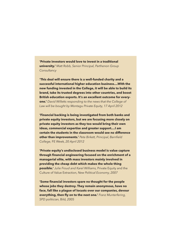**'Private investors would love to invest in a traditional university.'** *Matt Robb, Senior Principal, Parthenon Group Consultancy*

**'This deal will ensure there is a well-funded charity and a successful international higher education business....With the new funding invested in the College, it will be able to build its brand, take its trusted degrees into other countries, and boost British education exports. It's an excellent outcome for everyone.'** *David Willetts responding to the news that the College of Law will be bought by Montagu Private Equity, 17 April 2012*

**'Financial backing is being investigated from both banks and private equity investors, but we are focusing more closely on private equity investors as they too would bring their own ideas, commercial expertise and greater support....I am certain the students in the classroom would see no difference other than improvements.'** *Pete Birkett, Principal, Barnfield College,* FE Week*, 20 April 2012*

**'Private equity's undisclosed business model is value capture through financial engineering focused on the enrichment of a managerial elite, with mass investors mainly involved in providing the cheap debt which makes the whole thing possible.'** *Julie Froud and Karel Williams,* Private Equity and the Culture of Value Extraction*, New Political Economy, 2007*

**'Some financial investors spare no thought for the people whose jobs they destroy. They remain anonymous, have no face, fall like a plague of locusts over our companies, devour everything, then fly on to the next one.'** *Franz Munterfering, SPD politician,* Bild*, 2005*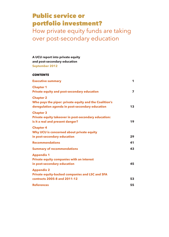# **Public service or portfolio investment?**

How private equity funds are taking over post-secondary education

**A UCU report into private equity and post-secondary education September 2012**

| <b>CONTENTS</b>                                                                                                               |    |
|-------------------------------------------------------------------------------------------------------------------------------|----|
| <b>Executive summary</b>                                                                                                      | 1  |
| <b>Chapter 1</b><br><b>Private equity and post-secondary education</b>                                                        | 7  |
| <b>Chapter 2</b><br>Who pays the piper: private equity and the Coalition's<br>deregulation agenda in post-secondary education | 13 |
| <b>Chapter 3</b><br>Private equity takeover in post-secondary education:<br>is it a real and present danger?                  | 19 |
| <b>Chapter 4</b><br>Why UCU is concerned about private equity<br>in post-secondary education                                  | 29 |
| <b>Recommendations</b>                                                                                                        | 41 |
| <b>Summary of recommendations</b>                                                                                             | 43 |
| <b>Appendix 1</b><br><b>Private equity companies with an interest</b><br>in post-secondary education                          | 45 |
| <b>Appendix 2</b><br><b>Private equity-backed companies and LSC and SFA</b><br>contracts 2005-8 and 2011-12                   | 53 |
| <b>References</b>                                                                                                             | 55 |
|                                                                                                                               |    |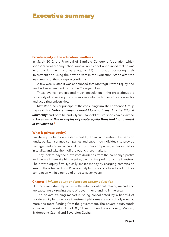# **Executive summary**

### **Private equity in the education headlines**

In March 2012, the Principal of Barnfield College, a federation which sponsors two Academy schools and a Free School, announced that he was in discussions with a private equity (PE) firm about accessing their investment and using the new powers in the Education Act to alter the Instruments of the college accordingly.

A few weeks later, it was announced that Montagu Private Equity had reached an agreement to buy the College of Law.

These events have initiated much speculation in the press about the possibility of private equity firms moving into the higher education sector and acquiring universities.

Matt Robb, senior principal at the consulting firm The Parthenon Group has said that *'private investors would love to invest in a traditional university'* and both he and Glynne Stanfield of Eversheds have claimed to be aware of *five examples of private equity firms looking to invest in universities*. **1**

### **What is private equity?**

Private equity funds are established by financial investors like pension funds, banks, insurance companies and super-rich individuals to provide management and initial capital to buy other companies, either in part or in totality, and take them off the public share markets.

They look to pay their investors dividends from the company's profits and then sell them at a higher price, passing the profits onto the investors. The private equity firm, typically, makes money by charging commission fees on these transactions. Private equity funds typically look to sell on their companies within a period of three to seven years.

### **Chapter 1** *Private equity and post-secondary education*

PE funds are extremely active in the adult vocational training market and are capturing a growing share of government funding in the area.

The private training market is being consolidated by a handful of private equity funds, whose investment platforms are accordingly winning more and more funding from the government. The private equity funds active in this market include LDC, Close Brothers Private Equity, Marwyn, Bridgepoint Capital and Sovereign Capital.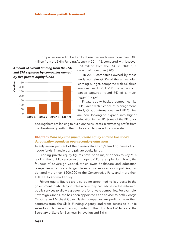Companies owned or backed by these five funds won more than £300 million from the Skills Funding Agency in 2011-12, compared with just over

*Amount of overall funding from the LSC and SFA captured by companies owned by five private equity funds*



£70 million from the LSC in 2005-6, a growth of more than 320%.

In 2008, companies owned by these funds won almost 9% of the entire adult learning budget, compared with 6% three years earlier. In 2011-12, the same companies captured round 9% of a much bigger budget.

Private equity backed companies like BPP, Greenwich School of Management, Study Group International and HE Online are now looking to expand into higher education in the UK. Some of the PE funds

backing them are looking to build on their success in extracting profits from the disastrous growth of the US for-profit higher education system.

### **Chapter 2** *Who pays the piper: private equity and the Coalition's deregulation agenda in post-secondary education*

Twenty-seven per cent of the Conservative Party's funding comes from hedge funds, financiers and private equity funds.

Leading private equity figures have been major donors to key MPs leading the 'public service reform agenda'. For example, John Nash, the founder of Sovereign Capital, which owns healthcare and education companies which stand to gain from public service reform policies, has donated more than £200,000 to the Conservative Party and more than £20,000 to Andrew Lansley.

Private equity figures are also being appointed to key posts in the government, particularly in roles where they can advise on the reform of public services to allow a greater role for private companies. For example, Sovereign's John Nash has been appointed as an adviser to both George Osborne and Michael Gove. Nash's companies are profiting from their contracts from the Skills Funding Agency and from access to public subsidies in higher education, granted to them by David Willetts and the Secretary of State for Business, Innovation and Skills.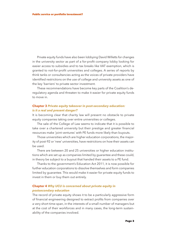Private equity funds have also been lobbying David Willetts for changes in the university sector as part of a for-profit company lobby looking for easier access to subsidies and to tax breaks like VAT exemption, which is granted to not-for-profit universities and colleges. A series of reports by think tanks or consultancies acting as the voices of private providers have identified restrictions on the use of college and university assets as one of the key 'barriers' to private sector investment.

These recommendations have become key parts of the Coalition's deregulatory agenda and threaten to make it easier for private equity funds to move in.

### **Chapter 3** *Private equity takeover in post-secondary education: is it a real and present danger?*

It is becoming clear that charity law will present no obstacle to private equity companies taking over entire universities or colleges.

The sale of the College of Law seems to indicate that it is possible to take over a chartered university but their prestige and greater financial resources make 'joint ventures' with PE funds more likely than buyouts.

Those universities which are higher education corporations, the majority of post-92 or 'new' universities, have restrictions on how their assets can be used.

There are between 20 and 25 universities or higher education institutions which are set up as companies limited by guarantee and these could, in theory be subject to a buyout that handed their assets to a PE fund.

Thanks to the government's Education Act 2011, it is now possible for further education corporations to dissolve themselves and form companies limited by guarantee. This would make it easier for private equity funds to invest in them or buy them out entirely.

### **Chapter 4** *Why UCU is concerned about private equity in postsecondary education*

The record of private equity shows it to be a particularly aggressive form of financial engineering designed to extract profits from companies over a very short time-span, in the interests of a small number of managers but at the cost of their workforces and in many cases, the long-term sustainability of the companies involved.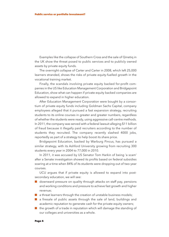Examples like the collapse of Southern Cross and the sale of Qinetiq in the UK show the threat posed to public services and to publicly owned assets by private equity funds.

The overnight collapse of Carter and Carter in 2008, which left 25,000 learners stranded, shows the risks of private equity-fuelled growth in the vocational training market.

Finally, the scandals involving private equity backed for-profit companies in the US like Education Management Corporation and Bridgepoint Education, show what can happen if private equity backed companies are allowed to expand in higher education.

After Education Management Corporation were bought by a consortium of private equity funds including Goldman Sachs Capital, company employees alleged that it pursued a fast expansion strategy, recruiting students to its online courses in greater and greater numbers, regardless of whether the students were ready, using aggressive call-centre methods. In 2011, the company was served with a federal lawsuit alleging \$11 billion of fraud because it illegally paid recruiters according to the number of students they recruited. The company recently slashed 4000 jobs, reportedly as part of a strategy to help boost its share price.

Bridgepoint Education, backed by Warburg Pincus, has pursued a similar strategy, with its Ashford University growing from recruiting 300 students every year in 2004 to 77,000 in 2010.

In 2011, it was accused by US Senator Tom Harkin of being 'a scam' after a Senate investigation showed its profits based on federal subsidies soaring at a time when 84% of its students were dropping out of two-year courses.

UCU argues that if private equity is allowed to expand into postsecondary education, we will see:

- $\blacksquare$  downward pressure on quality through attacks on staff pay, pensions and working conditions and pressure to achieve fast growth and higher revenue;
- $\blacksquare$  a threat learners through the creation of unstable business models;
- $\blacksquare$  a firesale of public assets through the sale of land, buildings and academic reputation to generate cash for the private equity owners;
- $\blacksquare$  the growth of a trade in reputation which will damage the standing of our colleges and universities as a whole.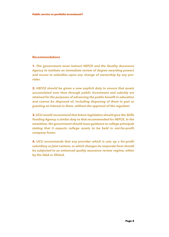### **Recommendations**

**1.** *The government must instruct HEFCE and the Quality Assurance Agency to institute an immediate review of degree awarding powers and access to subsidies upon any change of ownership by any provider.*

**2.** *HEFCE should be given a new explicit duty to ensure that assets accumulated over time through public investment and subsidy are retained for the purposes of advancing the public benefit in education and cannot be disposed of, including disposing of them in part or granting an interest in them, without the approval of the regulator.*

**3.** *UCU would recommend that future legislation should give the Skills Funding Agency a similar duty to that recommended for HEFCE. In the meantime,the government should issue guidance to college principals stating that it expects college assets to be held in not-for-profit company forms.*

**4.** *UCU recommends that any provider which is sets up a for-profit subsidiary or joint venture, or which changes its corporate form should be subjected to an enhanced quality assurance review regime, either by the QAA or Ofsted.*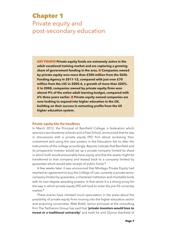# **Chapter 1** Private equity and post-secondary education

*KEY POINTS* **Private equity funds are extremely active in the adult vocational training market and are capturing a growing share of government funding in the area.** n **Companies owned by private equity won more than £300 million from the Skills Funding Agency in 2011-12, compared with just over £70 million from the LSC in 2005-6, a growth of more than 320%.** n **In 2008, companies owned by private equity firms won almost 9% of the entire adult learning budget, compared with 6% three years earlier.** n **Private equity owned companies are now looking to expand into higher education in the UK, building on their success in extracting profits from the US higher education system.**

### **Private equity hits the headlines**

In March 2012, the Principal of Barnfield College, a federation which sponsors two Academy schools and a Free School, announced that he was in discussions with a private equity (PE) firm about accessing their investment and using the new powers in the Education Act to alter the Instruments of the college accordingly. Reports indicate that Barnfield and its prospective investor would set up a private company limited by share in which both would presumably have equity and that the assets might be transferred to that company and leased back to a company limited by guarantee which would take receipt of public funds. **2**

A few weeks later, it was announced that Montagu Private Equity had reached an agreement to buy the College of Law, currently a private sector company limited by guarantee, a chartered institution and charitable body with its own degree awarding powers. In that sense it is a strong proxy for the way in which private equity (PE) will look to enter the pre-92 university market. **3**

These events have initiated much speculation in the press about the possibility of private equity firms moving into the higher education sector and acquiring universities. Matt Robb, senior principal at the consulting firm The Parthenon Group has said that *'private investors would love to invest in a traditional university'* and both he and Glynne Stanfield of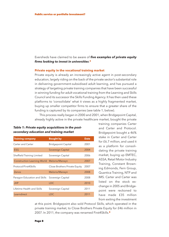Eversheds have claimed to be aware of *five examples of private equity firms looking to invest in universities*. **4**

### **Private equity in the vocational training market**

Private equity is already an increasingly active agent in post-secondary education, largely riding on the back of the private sector's substantial role in delivering government-subsidised adult learning, and has pursued a strategy of targeting private training companies that have been successful in winning funding for adult vocational training from the Learning and Skills Council and its successor the Skills Funding Agency. It has then used these platforms to 'consolidate' what it views as a highly fragmented market, buying up smaller competitor firms to ensure that a greater share of the funding is captured by its companies (see table 1, below).

This process really began in 2000 and 2001, when Bridgepoint Capital, already highly active in the private healthcare market, bought the private

### *Table 1: Private equity acquisitions in the postsecondary education and training market*

| <b>Training company</b>            | <b>Bought by</b>              | <b>Date</b> |
|------------------------------------|-------------------------------|-------------|
| Carter and Carter                  | <b>Bridgepoint Capital</b>    | 2001        |
| <b>ESG</b>                         | Sovereign Capital             | 2004        |
| Sheffield Training Limited         | Sovereign Capital             | 2006        |
| <b>Construction Learning World</b> | Melorio/Marwyn                | 2007        |
| Protocol/First4Skills              | Close Brothers Private Equity | 2007        |
| Zenos                              | Melorio/Marwyn                | 2008        |
| Paragon Education and Skills       | Sovereign Capital             | 2008        |
| <b>JHP</b>                         | <b>LDC</b>                    | 2010        |
| Lifetime Health and Skills         | Sovereign Capital             | 2011        |
| Learndirect                        | <b>LDC</b>                    | 2011        |

training companies Carter and Carter and Protocol. Bridgepoint bought a 46% stake in Carter and Carter for £6.7 million, and used it as a platform for consolidating the private training market, buying up EMTEC, ASSA, Retail Motor Industry Training, Constant Browning Edmonds, Fern Group, Quantica Training, NTP and IMS. Carter and Carter was listed on the stock exchange in 2005 and Bridgepoint were reckoned to have made £35 million from exiting the investment

at this point. Bridgepoint also sold Protocol Skills, which operated in the private training market, to Close Brothers Private Equity for £46 million in 2007. In 2011, the company was renamed First4Skills. **5**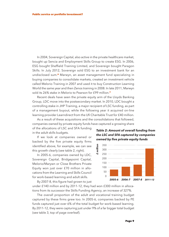In 2004, Sovereign Capital, also active in the private healthcare market, bought up Sencia and Employment Skills Group to create ESG. In 2006, ESG bought Sheffield Training Limited, and Sovereign bought Paragon Skills. In July 2012, Sovereign sold ESG to an investment bank for an undisclosed sum. **<sup>6</sup>** Marwyn, an asset management fund specializing in buying companies to consolidate markets, created an investment vehicle called Melorio Training in 2007 and used it to buy Construction Learning World the same year and then Zenos training in 2008. In late 2011, Marwyn sold its 26% stake in Melorio to Pearson for £99 million. **7**

Recent deals have seen the private equity arm of the Lloyds Banking Group, LDC move into the postsecondary market. In 2010, LDC bought a controlling stake in JHP Training, a major recipient of LSC funding, as part of a management buyout, while the following year it acquired on-line learning provider Learndirect from the Ufi Charitable Trust for £40 million.

As a result of these acquisitions and the consolidations that followed, companies owned by private equity funds have captured a growing share

of the allocations of LSC and SFA funding in the adult skills budgets.

If we look at companies owned or backed by the five private equity firms identified above, for example, we can see this growth clearly (see table 2, right).

In 2005-6, companies owned by LDC, Sovereign Capital, Bridgepoint Capital, Melorio/Marywn or Close Brothers Private Equity won just over £70 million in allocations from the Learning and Skills Council for work-based learning and adult skills.

By 2007-8, this figure had grown to just





under £140 million and by 2011-12, they had won £300 million in allocations from its successor the Skills Funding Agency, an increase of 327%.

The overall proportion of the adult and vocational training budget captured by these firms grew too. In 2005-6, companies backed by PE funds captured just over 6% of the total budget for work-based learning. By 2011-12, they were capturing just under 9% of a far bigger total budget (see table 3, top of page overleaf).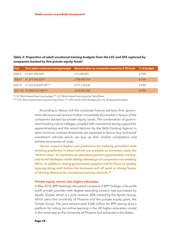*Table 3: Proportion of adult vocational training budgets from the LSC and SFA captured by companies backed by five private equity funds***<sup>8</sup>**

| Year   |                            | Total adult vocational training budget Amount taken by companies owned by 5 PE funds % of budget |       |
|--------|----------------------------|--------------------------------------------------------------------------------------------------|-------|
| 2005-6 | £1,081,354,345*            | £72,648,859                                                                                      | 6.70% |
|        | 2006-7 £1,279,587,624**    | £104,905,759                                                                                     | 8.19% |
| 2007-8 | £1,532,424,829.38***       | £137,118,436                                                                                     | 8.94% |
|        | 2011-12 £3,582,410,140**** | £310,922,783                                                                                     | 8.70% |

\* LSC Work-based learning budget \*\* LSC Work-based learning plus Train2Gain

\*\*\* LSC Work-based learning plus Train2Gain \*\*\* SFA Adult Skills Budget plus 16-18 Apprenticeships

According to Nexus LLP, the corporate finance advisory firm, government decisions will serve to further consolidate this market in favour of the companies backed by private equity funds. The combination of government funding cuts to colleges, coupled with maintained strong support for apprenticeships and the recent decision by the Skills Funding Agency to raise minimum contract thresholds are expected to favour 'buy and build' investment vehicles which can buy up their smaller competitors and achieve economies of scale:

*'Nexus expects higher exit premiums for training providers with existing platforms in place which are scalable as investors back the "best in class" to capitalise on abundant growth opportunities via buyand-build strategies while taking advantage of companies not meeting MCLs. In addition, strong government support and its focus on quality training along with tuition fee increases will all work in strong favour of driving demand for vocational training services.'* **9**

### **Private equity moves into higher education**

In May 2010, BPP Holdings, the parent company of BPP College, a for-profit profit private provider with degree-awarding powers, was purchased by Apollo Global, which is a joint venture, 20% owned by the Apollo Group, which owns the University of Phoenix and the private equity giant, the Carlyle Group. The joint venture paid £368 million for BPP seeing at as a platform for rolling out online learning in the UK higher education model in the same way as the University of Phoenix had achieved in the States.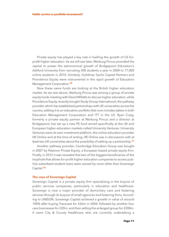Private equity has played a key role in fuelling the growth of US forprofit higher education. As we will see later, Warburg Pincus provided the capital to power the astronomical growth of Bridgepoint Education's Ashford University from recruiting 300 students a year in 2004 to 77,000 online students in 2010. Similarly, Goldman Sachs Capital Partners and Providence Equity were instrumental in the rapid growth of Education Management Corporation. **10**

Now these same funds are looking at the British higher education market. As we saw above, Warburg Pincus was among a group of private equity funds meeting with David Willetts to discuss higher education, while Providence Equity recently bought Study Group International, the pathway provider which has established partnerships with UK universities across the country, adding it to an education portfolio that now includes stakes in both Education Management Corporation and ITT in the US. Ryan Craig, formerly a private equity partner at Warburg Pincus and a director at Bridgepoint, has set up a new PE fund aimed specifically at the UK and European higher education markets called University Ventures. University Ventures owns its own investment platform, the online education provider HE Online and at the time of writing, HE Online was in discussions with at least two UK universities about the possibility of setting up a partnership. **11**

Another pathway provider, Cambridge Education Group was bought in 2007 by Palamon Private Equity, a European based private equity firm. Finally, in 2012 it was revealed that two of the biggest beneficiaries of the loophole that allows for-profit higher education companies to access publicly subsidized student loans were owned by none other than Sovereign Capital. **12**

### **The case of Sovereign Capital**

Sovereign Capital is a private equity firm specializing in the buyout of public services companies, particularly in education and healthcare. Sovereign is now a major provider of domiciliary care and fostering services through its buyout of small agencies and fostering firms. According to UNISON, Sovereign Capital achieved a growth in value of around 100% after buying Tracscare for £26m in 2004, followed by another four care businesses for £20m, and then selling the enlarged group for £200m. It owns City & County Healthcare who are currently undertaking a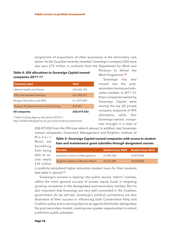programme of acquisitions of other businesses in the domiciliary care sector. As the *Guardian* recently revealed, Sovereign's company ESG have also won £73 million in contracts from the Department for Work and

## *Table 4: SFA allocations to Sovereign Capital-owned companies 2011-11*

| <b>Company name</b>                   | <b>Total</b> |
|---------------------------------------|--------------|
| Lifetime Health and Fitness           | £24,606,198  |
| <b>ESG Intermediate Holdings</b>      | £21,945,597  |
| Paragon Education and Skills          | £11,879,580  |
| Paragon Emplyment Advice and Training | £47,657      |
| <b>All companies</b>                  | £58,479,032  |

\* Skills Funding Agency allocations 2010/11

*http://skillsfundingagency.bis.gov.uk/providers/programmes*

Pensions to deliver the Work Programme. **13**

Sovereign has also moved into the postsecondary training and education markets. In 2011-12, three companies owned by Sovereign Capital were among the top 20 private company recipients of SFA allocations, while four Sovereign-owned companies brought in a total of

£58,479,032 from the SFA (see table 4, above). In addition, two Sovereign owned companies, Greenwich Management and Brighton Institute of

M o d e r n Music, are *Table 5: Sovereign Capital-owned companies with access to student loan and maintenance grant subsidies through designated courses*

| <b>Provider</b>                    | <b>Student loans 2009</b> | <b>Student loans 2010</b> |
|------------------------------------|---------------------------|---------------------------|
| Greenwich School of Management     | £3,494,300                | £4,873,000                |
| Brighton Institute of Modern Music | £2,515,000                | £4,504,000                |
|                                    |                           |                           |

in publicly subsidized higher education student loans for their students (see table 5, above). **14**

Sovereign's success in tapping into public service 'reform' markets, reflect the more general success of private equity funds in targeting growing companies in the deregulated post-secondary markets. But it's also important that Sovereign are very well connected in the Coalition government. As we will see, Sovereign's political connections are also illustrative of their success in influencing both Conservative Party and Coalition policy and in winning them to an agenda that further deregulates the post-secondary market, creating even greater opportunities to extract profit from public subsidies.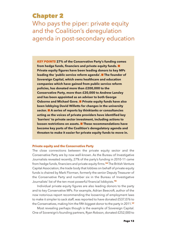# **Chapter 2**

Who pays the piper: private equity and the Coalition's deregulation agenda in post-secondary education

*KEY POINTS* **27% of the Conservative Party's funding comes from hedge funds, financiers and private equity funds.** n **Private equity figures have been leading donors to key MPs leading the 'public service reform agenda'.** n **The founder of Sovereign Capital, which owns healthcare and education companies which have gained from public service reform policies, has donated more than £200,000 to the Conservative Party, more than £20,000 to Andrew Lansley and has been appointed as an adviser to both George Osborne and Michael Gove.** n **Private equity funds have also been lobbying David Willetts for changes in the university sector.** n **A series of reports by thinktanks or consultancies acting as the voices of private providers have identified key 'barriers' to private sector investment, including actions to loosen restrictions on assets.** n **These recommendations have become key parts of the Coalition's deregulatory agenda and threaten to make it easier for private equity funds to move in.**

### **Private equity and the Conservative Party**

The close connections between the private equity sector and the Conservative Party are by now well-known. As the Bureau of Investigative Journalists revealed recently, 27% of the party's funding in 2010-11 came from hedge funds, financiers and private equity firms. **<sup>15</sup>** The British Venture Capital Association, the trade body that lobbies on behalf of private equity funds is chaired by Mark Florman, formerly the senior Deputy Treasurer of the Conservative Party and number six in the Bureau of Investigative Journalists' list of the ten most powerful financial lobbyists. **16**

Individual private equity figures are also leading donors to the party and to key Conservative MPs. For example, Adrian Beecroft, author of the now notorious report recommending the loosening of employment laws to make it simpler to sack staff, was reported to have donated £537,076 to the Conservatives, making him the fifth biggest donor to the party in 2011. **17**

Most revealing perhaps though is the example of Sovereign Capital. One of Sovereign's founding partners, Ryan Robson, donated £252,000 to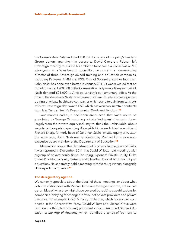the Conservative Party and paid £50,000 to be one of the party's Leader's Group donors, granting him access to David Cameron. Robson left Sovereign recently to pursue his ambition to become a Conservative MP, after years as a Wandsworth councillor; he remains a non-executive director of three Sovereign-owned training and education companies, including Paragon, BIMM and ESG. One of Sovereign's other founders, John Nash, has done even better. In January 2011, it was revealed that on top of donating £200,000 to the Conservative Party over a five-year period, Nash donated £21,000 to Andrew Lansley's parliamentary office. At the time of the donations Nash was chairman of Care UK, while Sovereign own a string of private healthcare companies which stand to gain from Lansley's reforms. Sovereign also owned ESG which has won two lucrative contracts from Iain Duncan Smith's Department of Work and Pensions. **18**

Four months earlier, it had been announced that Nash would be appointed by George Osborne as part of a 'red team' of experts drawn largely from the private equity industry to 'think the unthinkable' about ways to reduce public spending. Alongside him were Adrian Beecroft and Richard Sharp, formerly head of Goldman Sachs' private equity arm. Later the same year, John Nash was appointed by Michael Gove as a nonexecutive board member at the Department of Education. **19**

Meanwhile, over at the Department of Business, Innovation and Skills, it was reported in December 2011 that David Willetts held meetings with a group of private equity firms, including Exponent Private Equity, Duke Street, Providence Equity Partners and Silverfleet Capital 'to discuss higher education'. He separately held a meeting with Warburg Pincus, alongside US for-profit companies. **20**

### **The deregulatory agenda**

We can only speculate about the detail of these meetings, or about what John Nash discusses with Michael Gove and George Osborne, but we can get an idea of what they might have covered by looking at publications by companies lobbying for changes in favour of private providers and private investors. For example, in 2010, Policy Exchange, which is very well connected in the Conservative Party, (David Willetts and Michael Gove were both on the think tank's board) published a document titled *Higher Education in the Age of Austerity*, which identified a series of 'barriers' to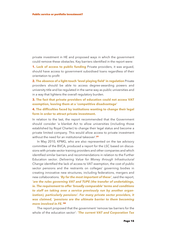private investment in HE and proposed ways in which the government could remove these obstacles. Key barriers identified in the report were:

**1. Lack of access to public funding** Private providers, it was argued, should have access to government subsidised loans regardless of their orientation to profit

**2. The absence of a light-touch 'level playing field' in regulation** Private providers should be able to access degree-awarding powers and university title and be regulated in the same way as public universities and in a way that lightens the overall regulatory burden.

**3. The fact that private providers of education could not access VAT exemption, leaving them at a 'competitive disadvantage'**

## **4. The difficulties faced by institutions wanting to change their legal form in order to attract private investment.**

In relation to the last, the report recommended that the Government should consider 'a blanket Act to allow universities (including those established by Royal Charter) to change their legal status and become a private limited company. This would allow access to private investment without the need for an institutional takeover'. **21**

In May 2010, KPMG, who are also represented on the tax advisory committee of the BVCA, produced a report for the LSC based on discussions with private sector training providers and other companies and which identified similar barriers and recommendations in relation to the Further Education sector. *Delivering Value for Money through Infrastructural Change* identified the lack of access to VAT exemption, the cost of public sector pensions and the restraints on colleges' governing bodies in creating innovative new structures, including federations, mergers and new collaborations. *'By far the most important of these'*, said the report, *'are the rules governing VAT and TUPE (the transfer of undertakings, ie. The requirement to offer 'broadly comparable' terms and conditions to staff on taking over a service previously run by another organization), particularly pensions'. For many private sector providers, it was claimed, 'pensions are the ultimate barrier to them becoming more involved in FE.'* **22**

The report proposed that the government 'remove tax barriers for the whole of the education sector': *'The current VAT and Corporation Tax*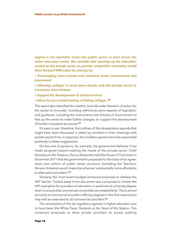*regime is not equitable across the public sector or even across the wider education sector. We consider that opening up the education market to the private sector to provide competitive neutrality would drive forward VfM (value for money) by:*

*• Encouraging more private and voluntary sector involvement and investment*

*• Allowing colleges to work more closely with the private sector in innovative Joint Ventues*

- *• Support the development of shared services*
- *• Allow for true market testing of failing colleges.'* **23**

The report also identified the need to 'provide wider freedom of action for the sector to innovate', including rethinking some aspects of legislation and guidance, including the Instruments and Articles of Government to free up the sector to make further changes, to 'support the development of further innovative structures'. **24**

It's easy to see, therefore, the outlines of the deregulatory agenda that might have been discussed in detail by ministers in their meetings with private equity firms. In response, the Coalition government has responded positively to these suggestions.

On the cost of pensions, for example, the government believes it has made progress toward meeting the needs of the private sector. Chief Secretary to the Treasury, Danny Alexander told the House of Commons in December 2011 that the government's proposals for the basis of an agreement over reform of public sector pensions (including the Teachers' Pension Scheme) would make the schemes 'substantially more affordable to alternative providers'. **25**

Similarly, the most recent budget contained proposals to address the VAT 'barrier'. Tucked away in the document was a proposal to 'review the VAT exemption for providers of education, in particular at university degree level, to ensure that commercial universities are treated fairly.' This is aimed primarily at commercial providers offering degrees in the first instance but may well be extended to all commercial providers. **26**

The centrepiece of the de-regulatory agenda in higher education was to have been the White Paper *Students at the Heart of the System*. This contained proposals to allow private providers to access publicly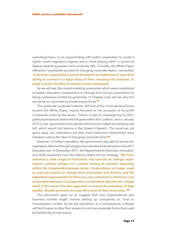subsidised loans on an equal footing with public universities, to create a lighter touch regulatory regime and a 'level playing field' in access to degree-awarding powers and university title. Crucially, the White Paper offered to 'simplify the process for changing corporate status', noting that: *'it has been argued that it would be helpful to institutions to ease their ability to convert to a legal status of their choosing—for example, to make it easier for them to attract private investment'.*

As we will see, this meant enabling universities which were constituted as higher education corporations to change from being corporations to being companies limited by guarantee. In Chapter 3 we will see why this would be so important to private equity funds. **27**

This particular proposal however, fell foul of the more general furore around the White Paper, mainly focused on the prospect of for-profit companies entering the sector. Thanks in part to campaigning by UCU, political pressure to shelve the bill grew within the Coalition, and in January 2012 it was reported that the government would indeed be delaying the bill, which would not feature in the Queen's Speech. The issue has not gone away, but indications are that most institutions themselves were lukewarm about the idea of changing corporate form. **28**

However, in further education, the government was able to secure deregulatory reforms through largely unscrutinised amendments to the 2011 Education Act. In December 2011, the Department for Business, Innovation and Skills explained how the reforms fitted into its strategy: *'We have removed a wide range of restrictions and controls on college corporations, putting colleges on a similar footing to charities operating within the independent/private sector. Corporations no longer need to seek permission to change their Instrument and Articles and the legislative requirements for these are now reduced to a minimum core of essential elements. A Corporation can decide to dissolve the college itself, if this seems the best approach to ensure the provision of high quality, flexible provision to meet the needs of their local areas.'* **29**

The document goes on to suggest that new organisational and business models might involve setting up companies or, trust or mutualisation models. As we will see below, as a consequence, colleges will find it easier to alter their powers to suit new corporate forms that could be backed by private equity.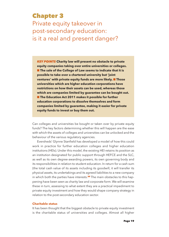# **Chapter 3**

Private equity takeover in post-secondary education: is it a real and present danger?

*KEY POINTS* **Charity law will present no obstacle to private equity companies taking over entire universities or colleges.** n **The sale of the College of Law seems to indicate that it is possible to take over a chartered university but 'joint ventures' with private equity funds are more likely.** n **Those universities which are higher education corporations have restrictions on how their assets can be used, whereas those which are companies limited by guarantee can be bought out.** n **The Education Act 2011 makes it possible for further education corporations to dissolve themselves and form companies limited by guarantee, making it easier for private equity funds to invest or buy them out.**

Can colleges and universities be bought or taken over by private equity funds? The key factors determining whether this will happen are the ease with which the assets of colleges and universities can be unlocked and the behaviour of the various regulatory agencies.

Eversheds' Glynne Stanfield has developed a model of how this could work in practice for further education colleges and higher education institutions (HEIs). Under this model, the existing HEI retains its position as an institution designated for public support through HEFCE and the SLC, as well as its own degree-awarding powers, its own governing body and its responsibilities in relation to student education. In return for a cash sum (the total cash value of its assets including its goodwill, it will transfer its physical assets, its undertakings and its agreed liabilities to a new company in which both the parties have interests. **<sup>30</sup>** The main obstacles to this happening have been seen as charity law and corporate form. We will examine these in turn, assessing to what extent they are a practical impediment to private equity investment and how they would shape company strategy in relation to the post-secondary education sector.

### **Charitable status**

It has been thought that the biggest obstacle to private equity investment is the charitable status of universities and colleges. Almost all higher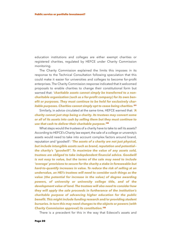education institutions and colleges are either exempt charities or registered charities, regulated by HEFCE under Charity Commission monitoring.

The Charity Commission explained the limits this imposes in its response to the Technical Consultation following speculation that this could make it easier for universities and colleges to become for-profit enterprises. The Charity Commission response indicated that it welcomed proposals to enable charities to change their constitutional form but warned that: *'charitable assets cannot simply be transferred to a noncharitable organization (such as a for-profit company) for its own benefit or purposes. They must continue to be held for exclusively charitable purposes. Charities cannot simply opt to cease being charities.'* **31**

Similarly, in advice circulated at the same time, HEFCE warned that: *'A charity cannot just stop being a charity. Its trustees may convert some or all of its assets into cash by selling them but they must continue to use that cash to deliver their charitable purpose.'* **32**

What steps would the trustees of a charity have to take to sell its assets? According to HEFCE's Charity law expert, the sale of a college or unversity's assets would need to take into account complex factors around brand, reputation and 'goodwill': *'The assets of a charity are not just physical, but include intangible assets such as brand, reputation and potential the charity's "goodwill". To maximize the value of any assets sold, trustees are obliged to take indepdendent financial advice. Goodwill is not easy to value, but the terms of the sale may need to include 'overage' provisions to secure for the charity a stake in foreseeable but hard-to-quantify increases in value. To reduce the risk of selling at an undervalue, an HEI's trustees will need to consider such things as the value (the potential for increase in the value) of degree awarding powers, of university or university college title, and of the development value of land. The trustees will also need to consider how they will apply the sale proceeds in furtherance of the institution's charitable purpose of advancing higher education for the public benefit. This might include funding research and/or providing student bursaries. In turn this may need changes to the objects or powers (with Charity Commission approval) its constitution.'* **33**

There is a precedent for this in the way that Edexcel's assets and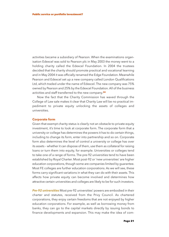activities became a subsidiary of Pearson. When the examinations organisation Edexcel was sold to Pearson plc in May 2003 the money went to a holding charity called the Edexcel Foundation. In 2004 the trustees decided that the charity should promote practical and vocational learning and in May 2004 it was officially renamed the Edge Foundation. Meanwhile Pearson and Edexcel set up a new company called London Qualifications Ltd, which traded under the name of Edexcel. The new company was 75% owned by Pearson and 25% by the Edexcel Foundation. All of the business activities and staff transferred to the new company. **34**

Now the fact that the Charity Commission has waved through the College of Law sale makes it clear that Charity Law will be no practical impediment to private equity unlocking the assets of colleges and universities.

#### **Corporate form**

Given that exempt charity status is clearly not an obstacle to private equity investment, it's time to look at corporate form. The corporate form that a university or college has determines the powers it has to do certain things, including to change its form, enter into partnership and so on. Corporate form also determines the level of control a university or college has over its assets – whether it can dispose of them, use them as collateral for raising loans or turn them into equity, for example. Universities or colleges tend to take one of a range of forms. The pre-92 universities tend to have been established by Royal Charter. Most post-92 or 'new universities' are higher education corporations, though some are companies limited by guarantee. Most FE colleges are further education corporations. As we will see, these forms carry significant variations in what they can do with their assets. This affects how private equity can become involved and determines how attractive certain universities and colleges are likely to be for such investors.

*Pre-92 universities* Most pre-92 universities' powers are embodied in their charter and statutes, received from the Privy Council. As chartered corporations, they enjoy certain freedoms that are not enjoyed by higher education corporations. For example, as well as borrowing money from banks, they can go to the capital markets directly by issuing bonds to finance developments and expansion. This may make the idea of com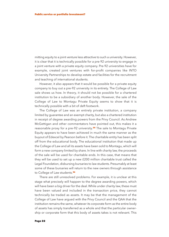mitting equity to a joint venture less attractive to such a university. However, it is clear that it is technically possible for a pre-92 university to engage in a joint venture with a private equity company. Pre-92 universities have for example, created joint ventures with for-profit companies like INTO University Partnerships to develop estate and facilities for the recruitment and teaching of international students.

However, it also appears that it would be possible for a private equity company to buy out a pre-92 university in its entirety. The College of Law sale shows us how. In theory, it should not be possible for a chartered institution to be a subsidiary of another body. However, the sale of the College of Law to Montagu Private Equity seems to show that it is technically possible with a bit of deft footwork.

The College of Law was an entirely private institution, a company limited by guarantee and an exempt charity, but also a chartered institution in receipt of degree awarding powers from the Privy Council. As Andrew McGettigan and other commentators have pointed out, this makes it a reasonable proxy for a pre-92 university. **<sup>35</sup>** The sale to Montagu Private Equity appears to have been achieved in much the same manner as the buyout of Edexcel by Pearson before it. The charitable entity has been split off from the educational body. The educational institution that made up the College of Law and all its assets have been sold to Montagu, which will form a new company limited by share. In line with charity law, the proceeds of the sale will be used for charitable ends. In this case, that means that they will be used to set up a new £200 million charitable trust called the Legal Foundation, disbursing bursaries to law students. Presumably at least some of these bursaries will return to the new owners through assistance to College of Law students. **36**

There are still unresolved problems. For example, it is unclear at this stage what precisely will happen to the degree awarding powers, which will have been a big driver for the deal. While under charity law, these must have been valued and included in the transaction price, they cannot technically be traded as assets. It may be that the management of the College of Law have argued with the Privy Council and the QAA that the institution remains the same, whatever its corporate form as the entire body of assets has simply transferred as a whole and that the particular ownership or corporate form that this body of assets takes is not relevant. This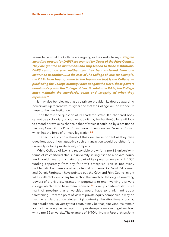seems to be what the College are arguing as their website says: *'Degree awarding powers (or DAPS) are granted by Order of the Privy Council. They are granted to institutions and ring-fenced to those institutions. DAPS cannot be sold neither can they be transferred from one institution to another…. In the case of The College of Law,for example, the DAPs have been granted to the institution that is the College. In purchasing the College Montagu does not gain the DAPs,these powers remain solely with the College of Law. To retain the DAPs, the College must maintain the standards, value and integrity of what they represent.'* **37**

It may also be relevant that as a private provider, its degree awarding powers are up for renewal this year and that the College will look to secure these to the new institution.

Then there is the question of its chartered status. If a chartered body cannot be a subsidiary of another body, it may be that the College will look to amend or revoke its charter, either of which it could do by a petition to the Privy Council. The Privy Council would then issue an Order of Council which has the force of primary legislation. **38**

The technical complications of this deal are important as they raise questions about how attractive such a transaction would be either for a university or for a private equity company.

While College of Law is a reasonable proxy for a pre-92 university in terms of its chartered status, a university selling itself to a private equity fund would have to maintain the part of its operation receiving HEFCE funding separately from any for-profit enterprise. This is not overly problematic but there are other potential problems. As David Palfreyman and Dennis Farrington have pointed out, the QAA and Privy Council might take a different view of any transaction that involved the degree awarding powers of a university granted in perpetuity to one involving a private college which has to have them renewed. **<sup>39</sup>** Equally, chartered status is a mark of prestige that universities would have to think hard about threatening. From the point of view of private equity companies, it may be that the regulatory uncertainties might outweigh the attractions of buying out a traditional university tout court. It may be that joint ventures remain for the time being the best option for private equity anxious to get involved with a pre-92 university. The example of INTO University Partnerships Joint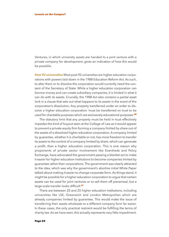Ventures, in which university assets are handed to a joint venture with a private company for development, gives an indication of how this would be possible.

*Post-92 universities* Most post-92 universities are higher education corporations with powers laid down in the 1988 Education Reform Act. As such, to alter them or to dissolve the corporation would currently need the consent of the Secretary of State. While a higher education corporation can borrow money and can create subsidiary companies, it is limited in what it can do with its assets. Crucially, the 1988 Act also contains a partial asset lock in a clause that sets out what happens to its assets in the event of the corporation's dissolution. Any property transferred under an order to dissolve a higher education corporation 'must be transferred on trust to be used for charitable purposes which are exclusively educational purposes'. **40**

The statutory limit that any property must be held in trust effectively impedes the kind of buyout seen at the College of Law as it would appear to prevent a private equity firm forming a company limited by share out of the assets of a dissolved higher education corporation. A company limited by guarantee, whether it is charitable or not, has more freedom to transfer its assets to the control of a company limited by share, which can generate a profit, than a higher education corporation. This is one reason why proponents of private sector involvement like Eversheds and Policy Exchange, have advocated the government passing a blanket act to make it easier for higher education institutions to become companies limited by guarantee rather than corporations. The government was clearly attracted to the idea, which was why the government's abortive initial White Paper talked about making it easier to change corporate form. As things stand, it might be possible for a higher education corporation to argue that certain assets can be used for joint ventures or to sell them off piecemeal, but a large scale transfer looks difficult. **41**

There are between 20 and 25 higher education institutions, including universities like LSE, Greenwich and London Metropolitan which are already companies limited by guarantee. This would make the issue of transferring their assets wholesale to a different company form far easier. In these cases, the only practical restraint would be fulfilling the terms of charity law. As we have seen, this actually represents very little impediment.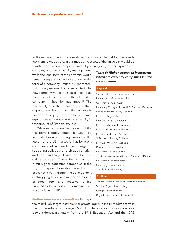In these cases, the model developed by Glynne Stanfield at Eversheds looks entirely plausible. In this model, the assets of the university would be transferred to a new company limited by share, jointly owned by a private

company and the university management, while the legal form of the university would remain a separate charitable body, in the form of a company limited by guarantee, with its degree-awarding powers intact. The new company would then lease or contract back use of its assets to the charitable company limited by guarantee. **<sup>42</sup>** The plausibility of such a scenario would then depend on how much the university needed the equity and whether a private equity company would want a university in that amount of financial trouble.

While some commentators are doubtful that private equity companies would be interested in a struggling university, the lesson of the US market is that for-profit companies of all kinds have targeted struggling colleges for their accreditation and then radically developed them as online providers. One of the biggest forprofit higher education companies in the US, Bridgepoint Education, was built in exactly this way, through the development of struggling 'bricks and mortar' accredited colleges into two massive online universities. It is not difficult to imagine such a scenario in the UK.

## *Table 6: Higher education institutions which are currently companies limited by guarantee*

#### **England**

Conservatoire for Dance and Drama University of Gloucestershire University of Greenwich University College Plymouth St Mark and St John Leeds Trinity University College Leeds College of Music Liverpool Hope University London School of Economics London Metropolitan University London South Bank University St Mary's University College Newman University College Roehampton University University College Suffolk Trinity Laban Conservatoire of Music and Dance University of Westminster University of Winchester York St John University

#### **Scotland**

The University of the Highlands and Islands Scottish Agricultural College Glasgow School of Art Royal Conservatoire of Scotland

### *Further education corporations* Perhaps

the most likely target institution for private equity in the immediate term is the further education college. Most FE colleges are corporations whose powers derive, ultimately, from the 1988 Education Act and the 1992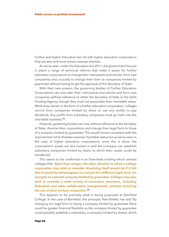Further and Higher Education Act. As with higher education corporations they are also and must remain exempt charities.

As we've seen, under the Education Act 2011, the government has put in place a range of technical reforms that make it easier for further education corporations to change their instruments and articles, form new companies and, crucially to change their form to companies limited by guarantee without having to get the approval of the Secretary of State.

With their new powers, the governing bodies of Further Education Corporations can now alter their instruments and articles and form new companies without reference to either the Secretary of State or the Skills Funding Agency, though they must not jeopardise their charitable status. While they remain in the form of a further education corporation, colleges cannot form companies limited by share or use any profits to pay dividends. Any profits from subsidiary companies must go back into the charitable business. **43**

However, governing bodies can now, without reference to the Secretary of State, dissolve their corporations and change their legal form to those of a company limited by guarantee. This would remain consistent with the requirement not to threaten exempt charitable status but as we've seen in the case of higher education corporations, once this is done, the corporation's assets are less locked in and the company can establish subsidiary companies limited by share, to which their assets could be transferred.

This seems to be confirmed in an Eversheds briefing which advises colleges that: *'Apart from merger,the other situation in which a college corporation may wish to consider dissolving itself would be if it felt that it would be advantageous to convert to a different legal form, for example to a private company limited by guarantee. Colleges may also wish to consider a wide variety of innovative structures, including federation and other collaborative arrangements, perhaps involving the use of joint venture companies.'* **44**

This appears to be precisely what is being proposed at Barnfield College. In the case of Barnfield, the principal, Pete Birkett, has said 'By changing our legal form to being a company limited by guarantee there could be greater financial flexibility as the company limited by guarantee could possibly establish a subsidiary, a company limited by shares, which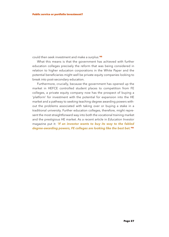could then seek investment and make a surplus.' **45**

What this means is that the government has achieved with further education colleges precisely the reform that was being considered in relation to higher education corporations in the White Paper and the potential beneficiaries might well be private equity companies looking to break into post-secondary education.

Furthermore, crucially, because the government has opened up the market in HEFCE controlled student places to competition from FE colleges, a private equity company now has the prospect of buying a 'platform' for investment with the potential for expansion into the HE market and a pathway to seeking teaching degree awarding powers without the problems associated with taking over or buying a stake in a traditional university. Further education colleges, therefore, might represent the most straightforward way into both the vocational training market and the prestigious HE market. As a recent article in *Education Investor* magazine put it: *'If an investor wants to buy its way to the fabled degree-awarding powers, FE colleges are looking like the best bet.'* **46**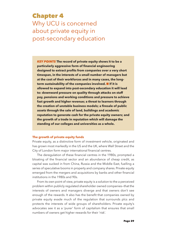# **Chapter 4** Why UCU is concerned about private equity in post-secondary education

*KEY POINTS* **The record of private equity shows it to be a particularly aggressive form of financial engineering designed to extract profits from companies over a very short timespan, in the interests of a small number of managers but at the cost of their workforces and in many cases, the longterm sustainability of the companies involved.** n **If it is allowed to expand into post-secondary education it will lead to: downward pressure on quality through attacks on staff pay, pensions and working conditions and pressure to achieve fast growth and higher revenue; a threat to learners through the creation of unstable business models; a firesale of public assets through the sale of land, buildings and academic reputation to generate cash for the private equity owners; and the growth of a trade in reputation which will damage the standing of our colleges and universities as a whole.**

### **The growth of private equity funds**

Private equity, as a distinctive form of investment vehicle, originated and has grown most markedly in the US and the UK, where Wall Street and the City of London form major international financial centres.

The deregulation of these financial centres in the 1980s, prompted a bloating of the financial sector and an abundance of cheap credit, as capital was sucked in from China, Russia and the Middle East, fuelling a series of speculative booms in property and company shares. Private equity emerged from the mergers and acquisitions by banks and other financial institutions in the 1980s and 90s.

From its own point of view, private equity is a solution to the a perceived problem within publicly regulated shareholder owned companies—that the interests of owners and managers diverge and that owners don't see enough of the rewards. It also has the benefit that companies owned by private equity evade much of the regulation that surrounds plcs and protects the interests of wide groups of shareholders. Private equity's advocates see it as a 'purer' form of capitalism that ensures that small numbers of owners get higher rewards for their 'risk'.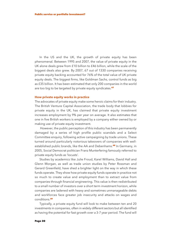In the US and the UK, the growth of private equity has been phenomenal. Between 1995 and 2007, the value of private equity in the UK alone deals grew from £10 billion to £46 billion, while the scale of the biggest deals also grew. By 2007, 67 out of 1330 companies receiving private equity backing accounted for 76% of the total value of UK private equity deals. The biggest firms, like Goldman Sachs, control funds as big as £35 billion. It has been estimated that only 200 companies in the world are too big to be targeted by private equity syndicates. **47**

### **How private equity works in practice**

The advocates of private equity make some heroic claims for their industry. The British Venture Capital Association, the trade body that lobbies for private equity in the UK, has claimed that private equity investment increases employment by 9% per year on average. It also estimates that one in five British workers is employed by a company either owned by or making use of private equity investment.

However, the public perception of this industry has been permanently damaged by a series of high profile public scandals and a Select Committee enquiry, following active campaigning by trade unions. These turned around particularly notorious takeovers of companies with wellestablished public brands, like the AA and Debenhams. **<sup>48</sup>** In Germany, in 2005, Social Democrat politician Franz Munterfering famously referred to private equity funds as 'locusts'.

Studies by academics like Julie Froud, Karel Williams, David Hall and Glenn Morgan, as well as trade union studies by Peter Rossman and Gerard Greenfield, have shed a brighter light on the way in which these funds operate. They show how private equity funds operate in practice not so much to create value and employment than to extract value from companies through financial engineering. This value is then redistributed to a small number of investors over a short term investment horizon, while companies are ladened with heavy and sometimes unmanageable debts and workforces face greater job insecurity and attacks on wages and conditions. **49**

Typically, a private equity fund will look to make between ten and 20 investments in companies, often in widely different sectors but all identified as having the potential for fast growth over a 3-7 year period. The fund will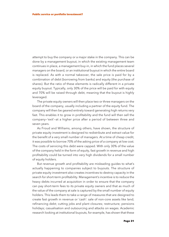attempt to buy the company or a major stake in the company. This can be done by a management buyout, in which the existing management team continues in place, a management buy-in, in which the fund places several managers on the board, or an institutional buyout in which the entire board is replaced. As with a normal takeover, the sale price is paid for by a combination of debt (borrowing from banks) and equity (the purchase of shares). But the ratio of these elements is radically different in a private equity buyout. Typically, only 30% of the price will be paid for with equity and 70% will be raised through debt, meaning that the buyout is highly leveraged.

The private equity owners will then place two or three managers on the board of the company, usually including a partner of the equity fund. The company will then be geared entirely toward generating high returns very fast. This enables it to grow in profitability and the fund will then sell the company—'exit'—at a higher price after a period of between three and seven years.

As Froud and Williams, among others, have shown, the structure of private equity investment is designed to redistribute and extract value for the benefit of a very small number of managers. At a time of cheap credit, it was possible to borrow 70% of the asking price of a company at low cost. The costs of servicing this debt were capped. With only 30% of the value of the company held in the form of equity, fast growth in revenue and high profitability could be turned into very high dividends for a small number of equity holders.

But revenue growth and profitability are misleading guides to what's actually happening to companies subject to buyouts. The structure of private equity investment also creates incentives to destroy capacity in the search for short-term profitability. Management's incentive is to reduce the heavy debts incurred at acquisition in order to ensure that the company can pay short-term fees to its private equity owners and that as much of the value of the company at sale is captured by the small number of equity holders. This leads them to take a range of measures that are designed to create fast growth in revenue or 'cash': sale of non-core assets like land; refinancing debt; cutting jobs and plant closures; restructure; pensions holidays; casualisation and outsourcing and attacks on wages. Academic research looking at institutional buyouts, for example, has shown that these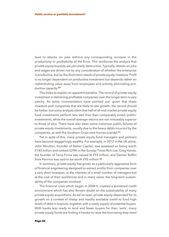lead to attacks on jobs without any corresponding increase in the productivity or profitability of the firms. This reinforces the analysis that private equity buyouts are peculiarly destructive. Typically, attacks on jobs and wages are driven not by any consideration of whether the enterprise is productive, but by the short-term needs of private equity investors. Profit is no longer dependent on productive investment but depends rather on redistributing value away from employees and actively eliminating productive capacity. **50**

This helps to explain an apparent paradox. The record of private equity investment in delivering profitable companies over the longer term is very patchy. As some commentators have pointed out, given that these investors pick companies that are likely to see growth, the record should be better, but some analysts claim that half of all mid-market private equity fund investments perform less well than than comparably timed 'public' investments, while the overall average returns are not noticeably superior to those of plcs. There have also been some notorious public failures of private equity investments, usually due to the heavy debts incurred by the companies, as with the Southern Cross care homes scandal. **51**

Yet in spite of this, many private equity fund managers and partners have become staggeringly wealthy. For example, in 2012 in the UK alone, John Moulton, founder of Better Capital, was assessed as being worth £143 million and ranked 529th in the *Sunday Times* Rich List; Greg Hands, the founder of Terra Firma was valued at £93 million; and Damon Buffini from Permira was said to be worth £95 million. **52**

In summary, private equity has grown as a particularly aggressive form of financial engineering designed to extract profits from companies over a very short timespan, in the interests of a small number of managers but at the cost of their workforces and in many cases, the long-term sustainability of the companies involved.

The financial crisis which began in 2008-9, created a worsened credit environment which has also thrown doubt on the sustainability of many private equity acquisitions. As we've seen, private equity depended for its growth on a context of cheap and readily available credit to fund high levels of debt in buyouts, together with a ready supply of potential buyers. With banks less ready to lend and fewer buyers for their 'exits', many private equity funds are finding it harder to raise the borrowing they need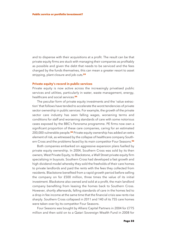and to dispense with their acquisitions at a profit. The result can be that private equity firms are stuck with managing their companies as profitably as possible and given the debt that needs to be serviced and the fees charged by the funds themselves, this can mean a greater resort to asset stripping, plant closure and job cuts. **53**

### **Private equity's record in public services**

Private equity is now active across the increasingly privatised public services and utilities, particularly in water, waste management, energy, healthcare and social services. **54**

The peculiar form of private equity investments and the 'value extraction' that follows have tended to accelerate the worst tendencies of private sector ownership in public services. For example, the growth of the private sector care industry has seen falling wages, worsening terms and conditions for staff and worsening standards of care with some notorious cases exposed by the BBC's *Panorama* programme. PE firms now own a significant proportion of these care companies, caring for an estimated 200,000 vulnerable people. **<sup>55</sup>** Private equity ownership has added an extra element of risk, as witnessed by the collapse of healthcare company Southern Cross and the problems faced by its main competitor Four Seasons. **56**

Both companies embarked on aggressive expansion plans fuelled by private equity ownership. In 2004, Southern Cross was sold by its then owners, West Private Equity, to Blackstone, a Wall Street private equity firm specializing in buyouts. Southern Cross had developed a fast growth and high dividend model whereby they sold the freeholds of their care homes to private landlords and paid the rents with the fees they collected from residents. Blackstone benefited from a rapid growth period before selling the company on for £500 million, three times the value of its initial investment. Blackstone also owned and sold at a profit, the main landlord company benefiting from leasing the homes back to Southern Cross. However, shortly afterwards, falling standards of care in the homes led to a drop in fee income at the same time that the financial crisis saw rents rise sharply. Southern Cross collapsed in 2011 and 140 of its 755 care homes were taken over by its competitor Four Seasons.

Four Seasons was bought by Allianz Capital Partners in 2004 for £775 million and then sold on to a Qatari Sovereign Wealth Fund in 2008 for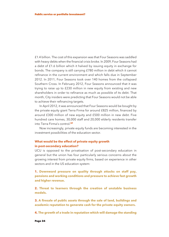£1.4 billion. The cost of this expansion was that Four Seasons was saddled with heavy debts when the financial crisis broke. In 2009, Four Seasons had a debt of £1.6 billion which it halved by issuing equity in exchange for bonds. The company is still carrying £780 million in debt which it cannot refinance in the current environment and which falls due in September 2012. In 2011, Four Seasons took over 140 homes from the collapsed Southern Cross. In February 2012, Four Seasons announced that it was trying to raise up to £230 million in new equity from existing and new shareholders in order to refinance as much as possible of its debt. That month, City insiders were predicting that Four Seasons would not be able to achieve their refinancing targets.

In April 2012, it was announced that Four Seasons would be bought by the private equity giant Terra Firma for around £825 million, financed by around £300 million of new equity and £500 million in new debt. Five hundred care homes, 30,000 staff and 20,000 elderly residents transfer into Terra Firma's control. **57**

Now increasingly, private equity funds are becoming interested in the investment possibilities of the education sector.

### **What would be the effect of private equity growth in post-secondary education?**

UCU is opposed to the privatisation of post-secondary education in general but the union has four particularly serious concerns about the growing interest from private equity firms, based on experience in other sectors and in the US education system:

**1. Downward pressure on quality through attacks on staff pay, pensions and working conditions and pressure to achieve fast growth and higher revenue.**

**2. Threat to learners through the creation of unstable business models.**

**3. A firesale of public assets through the sale of land, buildings and academic reputation to generate cash for the private equity owners.**

**4. The growth of a trade in reputation which will damage the standing**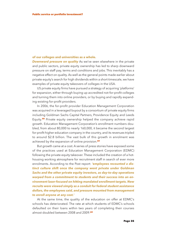### **of our colleges and universities as a whole.**

*Downward pressure on quality* As we've seen elsewhere in the private and public sectors, private equity ownership has led to sharp downward pressure on staff pay, terms and conditions and jobs. This inevitably has a negative effect on quality. As well as the general points made earlier about private equity's search for high dividends within a short timescale, we have examples of private equity takeovers of colleges in the USA.

US private equity firms have pursued a strategy of acquiring 'platforms' for expansion, either through buying up accredited not-for-profit colleges and turning them into online providers, or by buying and rapidly expanding existing for-profit providers.

In 2006, the for-profit provider Education Management Corporation was acquired in a leveraged buyout by a consortium of private equity firms including Goldman Sachs Capital Partners, Providence Equity and Leeds Equity. **<sup>58</sup>** Private equity ownership helped the company achieve rapid growth. Education Management Corporation's enrollment numbers doubled, from about 80,000 to nearly 160,000, it became the second largest for-profit higher education company in the country, and its revenues tripled to around \$2.8 billion. The vast bulk of this growth in enrolment was achieved by the expansion of online provision. **59**

But growth came at a cost. A series of press stories have exposed some of the practices used at Education Management Corporation (EDMC) following the private equity takeover. These included the creation of a hothousing working atmosphere for recruitment staff in search of ever more enrolments. According to the Post report: *'employees recounted a distinct culture shift once the company went private under Goldman Sachs and the other private equity investors, as day-to-day operations warped from a commitment to students and their success into an environment laser-focused on hitting mandated enrollment targets. New recruits were viewed simply as a conduit for federal student assistance dollars,the employees said, and pressure mounted from management to enroll anyone at any cost.'*

At the same time, the quality of the education on offer at EDMC's schools has deteriorated. The rate at which students of EDMC's schools defaulted on their loans within two years of completing their courses almost doubled between 2008 and 2009. **60**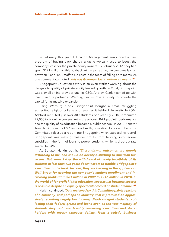In February this year, Education Management announced a new program of buying back shares, a tactic typically used to boost the company's cash for the private equity owners. By February 2012, they had spent \$291 million on this buyback. At the same time, the company laid off between 3 and 4000 staff to cut costs in the teeth of falling enrolments. As one commentator noted, *'this has Goldman Sachs written all over it.'* **61**

Bridgepoint Education's story is an even starker warning about the dangers to quality of private equity fuelled growth. In 2004, Bridgepoint was a small online provider until its CEO, Andrew Clark, teamed up with Ryan Craig, a partner at Warburg Pincus Private Equity to provide the capital for its massive expansion.

Using Warburg funds, Bridgepoint bought a small struggling accredited religious college and renamed it Ashford University. In 2004, Ashford recruited just over 300 students per year. By 2010, it recruited 77,000 to its online courses. Yet in the process, Bridgepoint's performance and the quality of its education became a public scandal. In 2010, Senator Tom Harkin from the US Congress Health, Education, Labor and Pensions Committee released a report into Bridgepoint which exposed its record. Bridgepoint was making massive profits from tapping into federal subsidies in the form of loans to poorer students, while its drop-out rate soared to 84%.

As Senator Harkin put it: *'These dismal outcomes are deeply disturbing to me—and should be deeply disturbing to American taxpayers. But, remarkably, the withdrawal of nearly two-thirds of its students in less than two years doesn't seem to trouble Bridgepoint's executives in the least. Instead, they are basking in the applause of Wall Street for growing the company's student enrollment and increasing profits from \$81 million in 2009 to \$216 million in 2010. In the world of for-profit higher education, spectacular business success is possible despite an equally spectacular record of student failure.'* **62**

Harkin continued: *'Data reviewed by this Committee paints a picture of a company—and perhaps an industry—that is premised on aggressively recruiting largely low-income, disadvantaged students...collecting their federal grants and loans even as the vast majority of students drop out...and lavishly rewarding executives and shareholders with mostly taxpayer dollars...From a strictly business*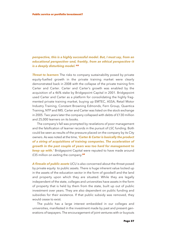## *perspective, this is a highly successful model. But, I must say, from an educational perspective—and, frankly, from an ethical perspective—it is a deeply disturbing model.'* **63**

**Threat to learners** The risks to company sustainability posed by private equity-fuelled growth in the private training market were clearly demonstrated back in 2008 with the collapse of the private training firm Carter and Carter. Carter and Carter's growth was enabled by the acquisition of a 46% stake by Bridgepoint Capital in 2001. Bridgepoint used Carter and Carter as a platform for consolidating the highly fragmented private training market, buying up EMTEC, ASSA, Retail Motor Industry Training, Constant Browning Edmonds, Fern Group, Quantica Training, NTP and IMS. Carter and Carter was listed on the stock exchange in 2005. Two years later the company collapsed with debts of £130 million and 25,000 learners on its books.

The company's fall was prompted by revelations of poor management and the falsification of learner records in the pursuit of LSC funding. Both could be seen as results of the pressure placed on the company by its City owners. As was noted at the time, *'Carter & Carter is basically the product of a string of acquisitions of training companies. The acceleration of growth in the past couple of years was too hard for management to keep up with.'* Bridgepoint Capital were reputed to have made around £35 million on exiting the company. **64**

*A firesale of public assets* UCU is also concerned about the threat posed by private equity to public assets. There is huge inherent value locked up in the assets of the education sector in the form of goodwill and the land and property upon which they are situated. While they are legally independent of the state, colleges and universities have assets in the form of property that is held by them from the state, built up out of public investment over years. They are also dependent on public funding and subsidies for their existence. If that public subsidy was removed, they would cease to exist.

The public has a large interest embedded in our colleges and universities, manifested in the investment made by past and present generations of taxpayers. The encouragement of joint ventures with or buyouts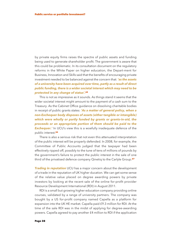by private equity firms raises the spectre of public assets and funding being used to generate shareholder profit. The government is aware that this could be problematic. In its consultation document on the regulatory reforms in the White Paper on higher education, the Depart-ment for Business, Innovation and Skills said that the benefits of encouraging private investment needed to be balanced against the concern that: *'as the assets of a university have been acquired over time, partly as a result of direct public funding, there is a wider societal interest which may need to be protected in any change of status'.* **65**

This is not as impressive as it sounds. As things stand it seems that the wider societal interest might amount to the payment of a cash sum to the Treasury. As the Cabinet Office guidance on dissolving charitable bodies in receipt of public grants states: *'As a matter of general policy, when a non-Exchequer body disposes of assets (either tangible or intangible) which were wholly or partly funded by grants or grants-in-aid, the proceeds or an appropriate portion of them should be paid to the* **Exchequer.'** In UCU's view this is a woefully inadequate defence of the public interest. **66**

There is also a serious risk that not even this attenuated interpretation of the public interest will be properly defended. In 2008, for example, the Committee of Public Accounts judged that the taxpayer had been effectively ripped off, possibly to the tune of tens of millions of pounds by the government's failure to protect the public interest in the sale of one third of the privatised defence company Qinetiq to the Carlyle Group. **67**

*Trading in reputation* UCU has a major concern about the development of a trade in the reputation of UK higher ducation. We can get some sense of the relative value placed on degree awarding powers by private investors by looking at the recent sale of the online for-profit provider Resource Development International (RDI) in August 2011.

RDI is a small but growing higher education company providing online courses, validated by a range of university partners. The company was bought by a US for-profit company named Capella as a platform for expansion into the UK HE market. Capella paid £9.3 million for RDI. At the time of the sale RDI was in the midst of applying for degree-awarding powers. Capella agreed to pay another £4 million to RDI if the application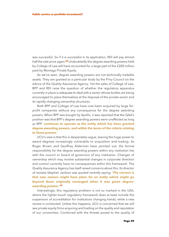was successful. So if it is successful in its application, RDI will pay almost half the sale price again. **<sup>68</sup>** Undoubtedly the degree awarding powers held by College of Law will have accounted for a large part of the £200 million paid by Montagu Private Equity.

As we've seen, degree awarding powers are not technically tradable assets. They are granted to a particular body by the Privy Council on the advice of the Quality Assurance Agency. Yet the sales of College of Law, BPP and RDI raise the question of whether the regulatory apparatus currently in place is adequate to deal with a sector whose bodies are being encouraged to place themselves at the disposal of the private sector and its rapidly changing ownership structures.

Both BPP and College of Law have now been acquired by large forprofit companies without any consequence for the degree awarding powers. When BPP was bought by Apollo, it was reported that the QAA's position was that BPP's degree awarding powers were unaffected as long as BPP *'continues to operate as the entity which has been granted degree-awarding powers, and within the terms of the criteria relating to those powers.'*

UCU's view is that this is desperately vague, leaving the huge power to award degrees increasingly vulnerable to acquisition and trading. As Roger Brown and Geoffrey Alderman have pointed out, the formal responsibility for the degree awarding powers within any institution lies with the council or board of governors of any institution. Changes of ownership which may involve substantial changes in corporate direction and control currently have no consequences within this framework. The Quality Assurance Agency has itself raised concerns about this. Its director of reviews Stephen Jackson was quoted recently saying: *'The concern is that new owners might have plans for an entity which might go beyond those originally envisaged when it was given degreeawarding powers.'* **69**

Interestingly, this regulatory problem is not so marked in the USA, where the lighter-touch regulatory framework does at least include the suspension of accreditation for institutions changing hands, while a new review is conducted. Unless this happens, UCU is concerned that we will see private equity firms acquiring and trading on the quality and reputation of our universities. Combined with the threats posed to the quality of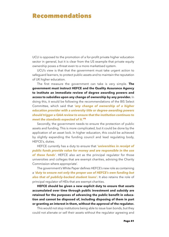# **Recommendations**

UCU is opposed to the promotion of a for-profit private higher education sector in general, but it is clear from the US example that private equity ownership poses a threat even to a more marketised system.

UCU's view is that that the government must take urgent action to safeguard learners, to protect public assets and to maintain the reputation of UK higher education.

The first measure the government can take is very simple. **The government must instruct HEFCE and the Quality Assurance Agency to institute an immediate review of degree awarding powers and access to subsidies upon any change of ownership by any provider.** In doing this, it would be following the recommendations of the BIS Select Committee, which said that *'any change of ownership of a higher education provider with a university title or degree-awarding powers should trigger a QAA review to ensure that the institution continues to meet the standards expected of it.'* **71**

Secondly, the government needs to ensure the protection of public assets and funding. This is more complicated, but it could be done by the application of an asset lock. In higher education, this could be achieved by slightly expanding the funding council and lead regulating body, HEFCE's, duties.

HEFCE currently has a duty to ensure that *'universities in receipt of public funds provide value for money and are responsible in the use of these funds'*. HEFCE also act as the principal regulator for those universities and colleges that are exempt charities, advising the Charity Commission where appropriate'.

The government's White Paper defines HEFCE's new role as containing a *'duty to ensure not only the proper use of HEFCE's own funding but also that of publicly-backed student loans'.* It also retains the role of principal regulator of HEIs that are exempt charities.

**HEFCE should be given a new explicit duty to ensure that assets accumulated over time through public investment and subsidy are retained for the purposes of advancing the public benefit in education and cannot be disposed of, including disposing of them in part or granting an interest in them, without the approval of the regulator.**

This would not stop institutions being able to issue loan bonds, but they could not alienate or sell their assets without the regulator agreeing and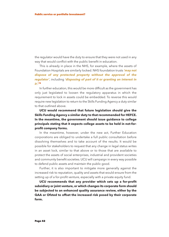the regulator would have the duty to ensure that they were not used in any way that would conflict with the public benefit in education.

This is already in place in the NHS, for example, where the assets of Foundation Hospitals are similarly locked. NHS foundation trusts *'may not dispose of any protected property without the approval of the regulator'*, including *'disposing of part of it or granting an interest in it'.* **72**

In further education, this would be more difficult as the government has only just legislated to loosen the regulatory apparatus in which the requirement to lock in assets could be embedded. To reverse this would require new legislation to return to the Skills Funding Agency a duty similar to that outlined above.

**UCU would recommend that future legislation should give the Skills Funding Agency a similar duty to that recommended for HEFCE. In the meantime, the government should issue guidance to college principals stating that it expects college assets to be held in not-forprofit company forms.**

In the meantime, however, under the new act, Further Education corporations are obliged to undertake a full public consultation before dissolving themselves and to take account of the results. It would be possible for stakeholders to request that any change in legal status writes in an asset lock, similar to that above or to those that are available to protect the assets of social enterprises, industrial and provident societies and community benefit societies. UCU will campaign in every way possible to defend public assets and maintain the public good.

Further, it is also important to mitigate more generally against the increased risk to reputation, quality and assets that would ensure from the setting up of a for-profit venture, especially with a private equity fund.

**UCU recommends that any provider which sets up a for-profit subsidiary or joint venture, or which changes its corporate form should be subjected to an enhanced quality assurance review, either by the QAA or Ofsted to offset the increased risk posed by their corporate form.**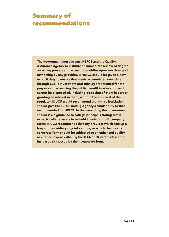# **Summary of recommendations**

**The government must instruct HEFCE and the Quality Assurance Agency to institute an immediate review of degree awarding powers and access to subsidies upon any change of ownership by any provider.** n **HEFCE should be given a new explicit duty to ensure that assets accumulated over time through public investment and subsidy are retained for the purposes of advancing the public benefit in education and cannot be disposed of, including disposing of them in part or granting an interest in them, without the approval of the regulator.** n **UCU would recommend that future legislation should give the Skills Funding Agency a similar duty to that recommended for HEFCE. In the meantime, the government should issue guidance to college principals stating that it expects college assets to be held in not-for-profit company forms.** n **UCU recommends that any provider which sets up a for-profit subsidiary or joint venture, or which changes its corporate form should be subjected to an enhanced quality assurance review, either by the QAA or Ofsted to offset the increased risk posed by their corporate form.**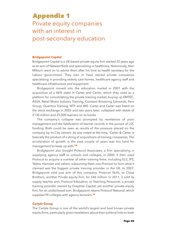# **Appendix 1** Private equity companies with an interest in post-secondary education

### **Bridgepoint Capital**

Bridgepoint Capital is a UK-based private equity firm started 25 years ago as an arm of Natwest Bank and specialising in healthcare. Notoriously, Alan Milburn went on to advise them after his time as health secretary for the Labour government. They own or have owned private companies specializing in providing elderly care homes, healthcare agency staff and healthcare infrastructure and equipment.

Bridgepoint moved into the education market in 2001 with the acquisition of a 46% stake in Carter and Carter, which they used as a platform for consolidating the private training market, buying up EMTEC, ASSA, Retail Motor Industry Training, Constant Browning Edmonds, Fern Group, Quantica Training, NTP and IMS. Carter and Carter was listed on the stock exchange in 2005 and two years later, collapsed with debts of £130 million and 25,000 learners on its books.

The company's collapse was prompted by revelations of poor management and the falsification of learner records in the pursuit of LSC funding. Both could be seen as results of the pressure placed on the company by its City owners. As was noted at the time, 'Carter & Carter is basically the product of a string of acquisitions of training companies. The acceleration of growth in the past couple of years was too hard for management to keep up with.' **73**

Bridgepoint also bought Protocol Associates, a firm specializing in supplying agency staff to schools and colleges, in 2000. It then used Protocol to acquire a number of other training firms, including ELS, IPS, Tektra, Harmser and others, subsuming them into Protocol to form what it claimed was the biggest private training provider in the UK. In 2007, Bridgepoint sold one arm of this company, Protocol Skills, to Close Brothers, another Private equity firm, for £46 million. In 2011, it sold its supply teacher arm, Protocol Education, to Teaching Personnel, a private training provider owned by Graphite Capital, yet another private equity firm, for an undisclosed sum. Bridgepoint retains Protocol National, which supplied FE colleges with agency lecturers. **74**

### **Carlyle Group**

The Carlyle Group is one of the world's largest and best known private equity firms, particularly given revelations about their political links to both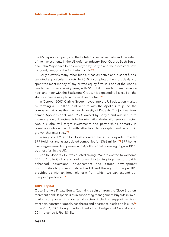the US Republican party and the British Conservative party and the extent of their investments in the US defence industry. Both George Bush Senior and John Major have been employed by Carlyle and their investors have included, famously, the Bin Laden family. **75**

Carlyle dwarfs many other funds. It has 84 active and distinct funds, targeted at particular markets. In 2010, it completed the most deals and spent the most money of any private-equity firm. It is one of the world's two largest private-equity firms, with \$150 billion under management neck-and-neck with the Blackstone Group. It is expected to list itself on the stock exchange as a plc in the next year or two. **76**

In October 2007, Carlyle Group moved into the US education market by forming a \$1 billion joint venture with the Apollo Group Inc, the company that owns the massive University of Phoenix. The joint venture, named Apollo Global, was 19.9% owned by Carlyle and was set up to 'make a range of investments in the international education services sector. Apollo Global will target investments and partnerships primarily in countries outside the US with attractive demographic and economic growth characteristics.' **77**

In August 2009, Apollo Global acquired the British for-profit provider BPP Holdings and its associated companies for £368 million. **<sup>78</sup>** BPP has its own degree awarding powers and Apollo Global is looking to grow BPP's business fast in the UK.

Apollo Global's CEO was quoted saying: 'We are excited to welcome BPP to Apollo Global and look forward to joining together to provide enhanced educational advancement and career development opportunities to professionals in the UK and throughout Europe. BPP provides us with an ideal platform from which we can expand our European presence.' **79**

### **CBPE Capital**

Close Brothers Private Equity Capital is a spin off from the Close Brothers merchant bank. It specializes in supporting management buyouts in 'midmarket companies' in a range of sectors including support services, transport, consumer goods, healthcare and pharmaceuticals and leisure. **80**

In 2007, CBPE bought Protocol Skills from Bridgepoint Capital and in 2011 renamed it First4Skills.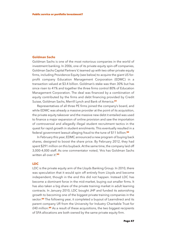### **Goldman Sachs**

Goldman Sachs is one of the most notorious companies in the world of investment banking. In 2006, one of its private equity spin-off companies, Goldman Sachs Capital Partners V, teamed up with two other private equity firms, including Providence Equity (see below) to acquire the giant US forprofit company Education Management Corporation (EDMC) in a transaction valued at \$3.4 billion. Goldman's stake was then 30% but has since risen to 41% and together the three firms control 80% of Education Management Corporation. The deal was financed by a combination of equity contributed by the firms and debt financing provided by Credit Suisse, Goldman Sachs, Merrill Lynch and Bank of America. **81**

Representatives of all three PE firms joined the company's board, and while EDMC was already a massive provider at the point of its acquisition, the private equity takeover and the massive new debt it entailed was used to finance a major expansion of online provision and saw the importation of controversial and allegedly illegal student recruitment tactics in the quest for rapid growth in student enrolments. This eventually resulted in a federal government lawsuit alleging fraud to the tune of \$11 billion. **82**

In February this year, EDMC announced a new program of buying back shares, designed to boost the share price. By February 2012, they had spent \$291 million on this buyback. At the same time, the company laid off 3,000-4,000 staff. As one commentator noted, 'this has Goldman Sachs written all over it'. **83**

### **LDC**

LDC is the private equity arm of the Lloyds Banking Group. In 2010, there was speculation that it would spin off entirely from Lloyds and become independent, though in the end this did not happen. Instead LDC has become a dominant force in the mid-market, buying out smaller firms. It has also taken a big share of the private training market in adult learning contracts. In January 2010, LDC bought JHP and funded its astonishing growth to becoming one of the biggest private training companies in the sector. **<sup>84</sup>** The following year, it completed a buyout of Learndirect and its parent company UfI from the University for Industry Charitable Trust for £40 million. **<sup>85</sup>** As a result of these acquisitions, the two biggest recipients of SFA allocations are both owned by the same private equity firm.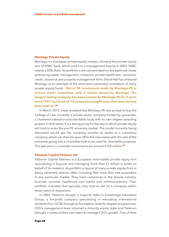### **Montagu Private Equity**

Montagu is a European private equity investor, formerly the private equity arm of HSBC bank, which sold it to a management buyout in 2003. HSBC retains a 20% share. Its portfolio is not concentrated on any particular areas, embracing waste management, transport, private healthcare, consumer credit, insurance and property management firms. David Hall has analysed Montagu as an example of the short-term ownership orientation of many private equity funds: *'Out of 34 investments made by Montagu PE in service sector companies, only 6 remain owned by Montagu. The longest lasting company has been owned by Montagu PE for 9 years since 1997; but 8 out of 13 companies bought since then have already been sold on.'* **86**

In March 2012 it was revealed that Montagu PE was poised to buy the College of Law, currently a private sector company limited by guarantee, a chartered institution and charitable body with its own degree awarding powers. In that sense it is a strong proxy for the way in which private equity will look to enter the pre-92 university market. The model currently being discussed would see the company transfer its assets to a subsidiary company, which can then be spun off to the new owner with the sale of the proceeds going into a charitable trust to be used for charitable purposes. The sale price is currently rumoured to be around £150 million. **87**

### **Palamon Capital Partners Ltd**

Palamon Capital Partners is a European mid-market private equity firm specializing in buyouts and managing more than £1 billion in funds on behalf of its investors. Its portfolio is typical of many private equity firms in being extremely diverse, often including little more than one acquisition in any particular market. They hold companies in the leisure industry, business services, healthcare and media and communications. Their portfolio indicates that typically, they look to sell on a company within seven years of acquisition.

In 2007, Palamon bought a majority stake in Cambridge Education Group, a for-profit company specializing in educating international students from GCSE through to foundation level for degree programmes. CEG's management team retained a minority equity stake and Palamon brought in some of their own team to manage CEG's growth. One of their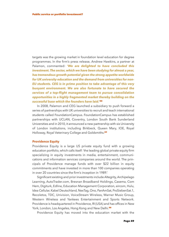targets was the growing market in foundation level education for degree programmes. In the firm's press release, Andrew Hawkins, a partner at Palamon, commented: *'We are delighted to have concluded this investment. The sector, which we have been studying for almost a year, has tremendous growth potential given the strong appetite worldwide for UK university education and the demand from universities for non-EU students. CEG is in prime position to take advantage of this very buoyant environment. We are also fortunate to have secured the services of a top-flight management team to pursue consolidation opportunities in a highly fragmented market thereby building on the successful base which the founders have laid.'* **88**

In 2008, Palamon and CEG launched a subsidiary to push forward a series of partnerships with UK universities to recruit and teach international students called FoundationCampus. FoundationCampus has established partnerships with UCLAN, Coventry, London South Bank Sunderland Universities and in 2010, it announced a new partnership with six University of London institutions, including Birkbeck, Queen Mary, IOE, Royal Holloway, Royal Veterinary College and Goldsmiths. **89**

#### **Providence Equity**

Providence Equity is a large US private equity fund with a growing education portfolio, which calls itself: 'the leading global private equity firm specializing in equity investments in media, entertainment, communications and information services companies around the world. The principals of Providence manage funds with over \$22 billion in equity commitments and have invested in more than 100 companies operating in over 20 countries since the firm's inception in 1989.'

Significant existing and prior investments include Altegrity, Archipelago Learning, AutoTrader.com, Bresnan Broadband Holdings, Casema, Com Hem, Digiturk, Edline, Education Management Corporation, eircom, Hulu, Idea Cellular, Kabel Deutschland, NexTag, Ono, PanAmSat, ProSiebenSat.1, Recoletos, TDC, Univision, VoiceStream Wireless, Warner Music Group, Western Wireless and Yankees Entertainment and Sports Network. Providence is headquartered in Providence, RI (USA) and has offices in New York, London, Los Angeles, Hong Kong and New Delhi. **90**

Providence Equity has moved into the education market with the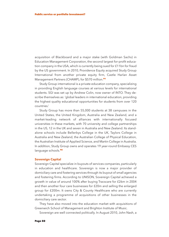acquisition of Blackboard and a major stake (with Goldman Sachs) in Education Management Corporation, the second largest for-profit education company in the USA, which is currently being sued for £11bn for fraud by the US government. In 2010, Providence Equity acquired Study Group International from another private equity firm, Castle Harlan Asset Management Partners (CHAMP), for \$570 million. **91**

Study Group international is a private education company, specializing in providing English language courses at various levels for international students. SGI was set up by Andrew Colin, now owner of INTO. They describe themselves as: 'global leaders in international education, providing the highest quality educational opportunities for students from over 120 countries.'

Study Group has more than 55,000 students at 38 campuses in the United States, the United Kingdom, Australia and New Zealand, and a market-leading network of alliances with internationally focused universities in these markets, with 70 university and college partnerships in the US, 12 in the UK and seven in Australia and New Zealand. Its standalone schools include Bellerbys College in the UK, Taylors College in Australia and New Zealand, the Australian College of Physical Education, the Australian Institute of Applied Science, and Martin College in Australia. In addition, Study Group owns and operates 19 year-round Embassy CES language schools. **92**

#### **Sovereign Capital**

Sovereign Capital specialize in buyouts of services companies, particularly in education and healthcare. Sovereign is now a major provider of domiciliary care and fostering services through its buyout of small agencies and fostering firms. According to UNISON, Sovereign Capital achieved a growth in value of around 100% after buying Tracscare for £26m in 2004 and then another four care businesses for £20m and selling the enlarged group for £200m. It owns City & County Healthcare who are currently undertaking a programme of acquisitions of other businesses in the domiciliary care sector.

They have also moved into the education market with acquisitions of Greenwich School of Management and Brighton Institute of Music.

Sovereign are well connected politically. In August 2010, John Nash, a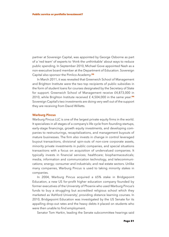partner at Sovereign Capital, was appointed by George Osborne as part of a 'red team' of experts to 'think the unthinkable' about ways to reduce public spending. In September 2010, Michael Gove appointed Nash as a non-executive board member at the Department of Education. Sovereign Capital also sponsor the Pimlico Academy. **93**

In March 2011, it was revealed that Greenwich School of Management and Brighton Institute were the two top recipients of public subsidies in the form of student loans for courses designated by the Secretary of State for support. Greenwich School of Management receive £4,873,000 in 2010, while Brighton Institute received £ 4,504,000 in the same year. **94** Sovereign Capital's two investments are doing very well out of the support they are receiving from David Willetts.

### **Warburg Pincus**

Warburg Pincus LLC is one of the largest private equity firms in the world. It specializes in all stages of a company's life cycle from founding startups, early-stage financings, growth equity investments, and developing companies to restructurings, recapitalizations, and management buyouts of mature businesses. The firm also invests in change in control leveraged buyout transactions, divisional spin-outs of non-core corporate assets, minority private investments in public companies, and special situations transactions with a focus on acquisition of undervalued companies. It typically invests in financial services; healthcare; biopharmaceuticals; media, information and communication technology, and telecommunications; energy; consumer and industrials; and real estate sectors. Unlike many companies, Warburg Pincus is used to taking minority stakes in companies.

In 2004, Warburg Pincus acquired a 65% stake in Bridgepoint Education, a new US for-profit higher education company founded by former executives of the University of Phoenix who used Warburg Pincus's funds to buy a struggling but accredited religious school which they marketed as 'Ashford University', providing distance learning courses. In 2010, Bridgepoint Education was investigated by the US Senate for its appalling drop-out rates and the heavy debts it placed on students who were then unable to find employment.

Senator Tom Harkin, leading the Senate subcommittee hearings said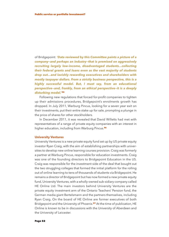of Bridgepoint: *'Data reviewed by this Committee paints a picture of a company—and perhaps an industry—that is premised on aggressively recruiting largely low-income, disadvantaged students...collecting their federal grants and loans even as the vast majority of students drop out...and lavishly rewarding executives and shareholders with mostly taxpayer dollars. From a strictly business perspective, this is a highly successful model. But, I must say, from an educational perspective—and, frankly, from an ethical perspective—it is a deeply disturbing model.'* **95**

Following new regulations that forced for-profit companies to tighten up their admissions procedures, Bridgepoint's enrolments growth has dropped. In July 2011, Warburg Pincus, looking for a seven year exit on their investments, put their entire stake up for sale, prompting a plunge in the price of shares for other stockholders.

In December 2011, it was revealed that David Willetts had met with representatives of a range of private equity companies with an interest in higher education, including from Warburg Pincus. **96**

### **University Ventures**

University Ventures is a new private equity fund set up by US private equity investor Ryan Craig, with the aim of establishing partnerships with universities to develop new online learning courses provision. Craig was formerly a partner at Warburg Pincus, responsible for education investments. Craig was one of the founding directors to Bridgepoint Education in the US. Craig was responsible for the investment side of the deal that bought out the two struggling colleges that formed the initial platform for the rolling out of online learning to tens of thousands of students via Bridgepoint. He remains a director of Bridgepoint but has now formed a new private equity fund, University Ventures, with a wholly-owned sub-sidiary company called HE Online Ltd. The main investors behind University Ventures are the private equity investment arm of the Ontario Teachers' Pension fund, the German media giant Bertelsmann and the partners themselves, including Ryan Craig. On the board of HE Online are former executives of both Bridgepoint and the University of Phoenix. **<sup>97</sup>** At the time of publication, HE Online is known to be in discussions with the University of Aberdeen and the University of Leicester.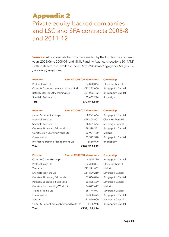# **Appendix 2**

Private equity-backed companies and LSC and SFA contracts 2005-8 and 2011-12

**Sources:** 'Allocation data for providers funded by the LSC for the academic years 2005/06 to 2008/09' and 'Skills Funding Agency Allocations 2011/12'. Both datasets are available here: *http://skillsfundingagency.bis.gov.uk/ providers/programmes*.

| <b>Provider</b>                         | Sum of 2005/06 allocations | <b>Ownership</b> |
|-----------------------------------------|----------------------------|------------------|
| Protocol Skills Ltd                     | £23,870,863                | Close Broth      |
| Carter & Carter Apprentice Learning Ltd | £22,282,000                | Bridgepoint      |
| Retail Motor Industry Training Ltd      | £21,026,752                | Bridgepoint      |
| <b>Sheffield Trainers Ltd</b>           | £5,469,244                 | Sovereign        |
| <b>Total</b>                            | £72,648,859                |                  |

## e Brothers PE gepoint Capital gepoint Capital

| <b>Provider</b>                     | Sum of 2006/07 allocations | <b>Ownership</b>           |
|-------------------------------------|----------------------------|----------------------------|
| Carter & Carter Group plc           | £50,291,664                | <b>Bridgepoint Capital</b> |
| Protocol Skills Ltd                 | £29,805,902                | Close Brothers PE          |
| <b>Sheffield Trainers Ltd</b>       | £8,551,563                 | Sovereign Capital          |
| Constant Browning Edmonds Ltd       | £8,318,961                 | <b>Bridgepoint Capital</b> |
| Construction Learning World Ltd     | £3,984,130                 | Melorio                    |
| Quantica Ltd                        | £3,372,540                 | <b>Bridgepoint Capital</b> |
| Interactive Training Management Ltd | £580,999                   | Bridgepoint                |
| Total                               | £104,905,759               |                            |

| <b>Provider</b>                              | Sum of 2007/08 allocations | <b>Ownership</b>           |
|----------------------------------------------|----------------------------|----------------------------|
| Carter & Carter Group plc                    | 47637790                   | <b>Bridgepoint Capital</b> |
| Protocol Skills Ltd                          | £33,370,837                | Close Brothers PE          |
| Zenos Ltd                                    | £12,971,803                | Melorio                    |
| <b>Sheffield Trainers Ltd</b>                | £11,829,210                | Sovereign Capital          |
| Constant Browning Edmonds Ltd                | £7,064,026                 | <b>Bridgepoint Capital</b> |
| Paragon Education & Skills Ltd               | £6,865,689                 | Sovereign Capital          |
| Construction Learning World Ltd              | £6,079,647                 | Melorio                    |
| Triangle Traing Ltd                          | £5,174,973                 | Sovereign Capital          |
| Quantica Ltd                                 | £4,338,493                 | <b>Bridgepoint Capital</b> |
| Sencia Ltd                                   | £1,650,000                 | Sovereign Capital          |
| Carter & Carter Employability and Skills Ltd | £135,968                   | <b>Bridgepoint Capital</b> |
| Total                                        | £137,118,436               |                            |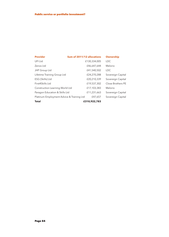| <b>Provider</b>                           | <b>Sum of 2011/12 allocations</b> |              | <b>Ownership</b>  |
|-------------------------------------------|-----------------------------------|--------------|-------------------|
| UFI Ltd                                   |                                   | £130,334,005 | <b>LDC</b>        |
| Zenos Ltd                                 |                                   | £46,647,644  | Melorio           |
| JHP Group Ltd                             |                                   | £41,540,502  | <b>LDC</b>        |
| Lifetime Training Group Ltd               |                                   | £24,270,288  | Sovereign Capital |
| ESG (Skills) Ltd                          |                                   | £20,210,339  | Sovereign Capital |
| First4Skills Ltd                          |                                   | £19,537,302  | Close Brothers PE |
| Construction Learning World Ltd           |                                   | £17,103,383  | Melorio           |
| Paragon Education & Skills Ltd            |                                   | £11,231,663  | Sovereign Capital |
| Platinum Employment Advice & Training Ltd |                                   | £47,657      | Sovereign Capital |
| <b>Total</b>                              |                                   | £310,922,783 |                   |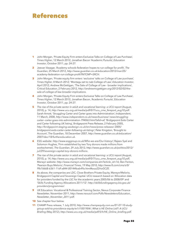# **References**

- **1** John Morgan, 'Private Equity Firm enters Exclusive Talks on College of Law Purchase', *Times Higher*, 12 March 2012; Jonathan Bacon 'Academic Pursuits', *Education Investor*, October 2011, pp. 24-27.
- **2** Jeevan Vasagar, 'Academy schools federation hopes to run college for profit', *The Guardian*, 25 March 2012, *http://www.guardian.co.uk/education/2012/mar/25/ academy-federation-run-college-profit?INTCMP=SRCH*.
- **3** John Morgan, 'Private equity firm enters 'exclusive' talks on College of Law purchase', *Times Higher*, 8 March 2012; 'Montagu set to nab College of Law', *Education Investor*, April 2012; Andrew McGettigan, 'The Sale of College of Law - broader implications', Critical Education, 2 February 2012, *http://andrewmcgettigan.org/2012/02/02/thesale-of-college-of-law-broader-implications*.
- **4** John Morgan, 'Private Equity Firm enters Exclusive Talks on College of Law Purchase', *Times Higher*, 12 March 2012; Jonathan Bacon, 'Academic Pursuits', *Education Investor*, October 2011, pp. 24-27.
- **5** *The rise of the private sector in adult and vocational learning: a UCU report* (August, 2010), p. 14, *http://www.ucu.org.uk/media/pdf/0/7/ucu\_cme\_fereport\_aug10.pdf*. Sarah Arnott, 'Struggling Carter and Carter goes into Administration', *Independent*, 11 March, 2008, *http://www.independent.co.uk/news/business/ news/strugglingcarter--carter-goes-into-administration-794063.html?afid=af*; 'Bridgepoint Exits Carter and Carter following UK listing', Bridgepoint Press Release, 2 February 2005, *http://bridgepoint-staging.sasdesign.co.uk/en/news/press-releases/ 2005/ bridgepoint-exits-carter-carter-following-uk-listing/*; Peter Kingston, 'Brought to Account', The Guardian, 18 December 2007, *http://www.guardian.co.uk/education/ 2007/dec/18/furthereducation.uk*.
- **6** ESG website: *http://www.esggroup.co.uk/Who-we-are/Our-history/*; Rajeev Syal and Solomon Hughes, 'Firm established by two Tory donors made millions from workschemes', *The Guardian*, 29 July 2012, *http://www.guardian.co.uk/politics/2012/ jul/29/sovereign-capital-tory-donors-millions*.
- **7** *The rise of the private sector in adult and vocational learning: a UCU report* (August, 2010), p. 14, *http://www.ucu.org.uk/media/pdf/0/7/ucu\_cme\_fereport\_aug10.pdf*; Marwyn website: *http://www.marwyn.com/companies.stm?article\_id=16*; Ben Fenton, 'Pearson Buys Melorio', *Financial Times*, 19 May 2010, *http://www.ft.com/cms/s/0/ f9b7d668-6361-11df-a844-00144feab49a.html#axzz22rIoGCZE*.
- **8** As above, the companies are LDC, Close Brothers Private Equity, Marwyn/Melorio, Bridgepoint Capital and Sovereign Capital. UCU research based on 'Allocation data for providers funded by the LSC for the academic years 2005/06 to 2008/09' and 'Skills Funding Agency Allocations 2011/12': *http://skillsfundingagency.bis.gov.uk/ providers/programmes/*.
- **9** UK Education: Vocational & Professional Training Sector, Nexus Corporate Finance Newsletter, November 2011, *http://www.nexuscf.com/Pdfs/Newsletters/Education\_ Newsletter\_November\_2011.pdf*.
- **10** See chapter four below.
- **11** CHAMP Press release, 1 July 2010, *http://www.champequity.com.au/01-07-10-studygroup-sold-to-providence-equity/w1/i1001904/*; *What is HE Online Ltd?: A UCU Briefing* (May 2012), *http://www.ucu.org.uk/media/pdf/5/h/HE\_Online\_briefing.pdf*.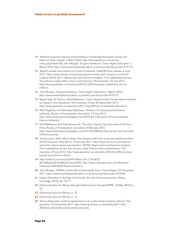- **12** 'Palamon acquires majority shareholding in Cambridge Education Group Ltd' Palamon Press release, 5 March 2007, *http://www.palamon.com/press/ index.php?read=28*; John Morgan, 'Enigma Variations', *Times Higher Education*, 1 March 2012, *http://www.timeshighereducation.co.uk/story.asp?storycode=419175*.
- 13 'Report reveals care industry on brink of collapse', UNISON Press release, 8 June 2011; *http://www.swamb.com/p/news/report-reveals-care-industry-on-brink-ofcollapse-08-06-2011*; Rajeev Syal and Solomon Hughes, 'Firm established by two Tory donors made millions from workschemes', *The Guardian*, 29 July 2012, *http://www.guardian.co.uk/politics/2012/jul/29/sovereign-capital-tory-donorsmillions*.
- **14** John Morgan, 'Enigma Variations', *Times Higher Education*, 1 March 2012; *http://www.timeshighereducation.co.uk/story.asp?storycode=419175*.
- 15 Rajeev Syal, Jill Treanor, Nick Mathiason, 'City's influence over Conservatives laid bare by research into donations', *The Guardian*, Friday 30 September 2011, *http://www.guardian.co.uk/politics/2011/sep/30/city-conservatives-donations*.
- **16** Will Fitzgibbon and Nicholas Mathiason, 'Britain's 10 most powerful finance lobbyists', *Bureau of Investigative Journalism*, 13 July 2012, *http://www.thebureauinvestigates.com/2012/07/13/britains-10-most-powerfulfinance-lobbyists/*.
- **17** Nick Mathiason and Yuba Bessaoud, 'The data: Top ten City financiers of the Tory Party', *Bureau of Investigative Journalism*, 8 February 2011, *http://www.thebureauinvestigates.com/2011/02/08/the-data-top-ten-city-financiersof-the-tory-party/*.
- **18** James Lyons, 'NHS reform leaves Tory backers with links to private healthcare firms set for bonanza', *Daily Mirror*, 19 January 2011, *http://www.mirror.co.uk/news/uknews/nhs-reform-leaves-tory-backers-105302*; Rajeev Syal and Solomon Hughes, 'Firm established by two Tory donors made millions from workschemes', *The Guardian*, 29 July 2012, *http://www.guardian.co.uk/politics/2012/jul/29/sovereigncapital-tory-donors-millions*.
- **19** *http://www.ft.com/cms/s/0/941f54ee-a3fc-11df-a872- 00144feabdc0.html#axzz1qVueO9FS*; *http://www.education.gov.uk/inthenews/ inthenews/a0070659/board-members*.
- **20** John Morgan, 'Willetts meets with private equity firms', Times Higher, 22 December 2011; *http://www.timeshighereducation.co.uk/story.asp?storycode=418548*.
- **21** *Higher Education in the Age of Austerity: the role of private providers* (Policy Exchange, 2010), pp. 70-71.
- **22** *Delivering Value for Money through Infrastructural Change* (KPMG, 20 May 2010), p. 62.
- **23** *Delivering Value for Money*, p. 73.
- **24** *Delivering Value for Money*, p. 72.
- **25** 'Danny Alexander confirms agreements over public sector pension reforms', *The Guardian*, 20 December 2011, *http://www.guardian.co.uk/politics/2011/dec/ 20/danny-alexander-public-sector-pensions*.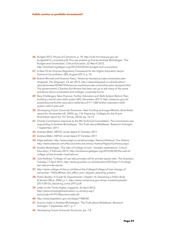- **26** Budget 2012, House of Commons, p. 74, *http://cdn.hm-treasury.gov.uk/ budget2012\_complete.pdf*. This was picked up first by Andrew McGettigan, 'The Budget and Universities', *Critical Education*, 22 March 2012, *http://andrewmcgettigan.org/2012/03/22/the-budget-and-universities/*.
- **27** *A New Fit-for-Purpose Regulatory Framework for the Higher Education Sector: Technical Consultation*, (BIS, August 2011), p. 35.
- **28** Robert Winnett and Graeme Paton, 'American-backed private universities plan dropped', *The Telegraph*, 23 Jan 2012, *http://www.telegraph.co.uk/education/ educationnews/9034279/American-backed-private-universities-plan-dropped.html*. The government's Charities Act Review has been set up to ask many of the same questions about universities and colleges 'corporate forms'.
- **29** *New Challenges, New Chances: Further Education and Skills System Reform Plan: building a world-class skills system* (BIS, December 2011), *http://www.bis.gov.uk/ assets/biscore/further-education-skills/docs/f/11-1380-further-education-skillssystem-reform-plan.pdf*.
- **30** *Developing Future University Structures: New Funding and Legal Models*, (Eversheds report for Universities UK, 2009), pp. 7-8; *Preparing Colleges for the Future* (Eversheds report for 157 Group, 2010), pp. 14-15.
- **31** Charity Commission response to the BIS Technical Consultation. The commission was responding to Andrew McGettigan, 'The Truth about Middlesex', *Research Fortnight*, 7 September, 2011.
- **32** Andrew Malin, HEFCE, email dated 27 October 2011.
- **33** Andrew Malin, HEFCE, email dated 27 October 2011
- **34** Edge website: *http://www.edge.co.uk/about-edge*; Pearson/Edexcel: Our History: *http://www.edexcel.com/Aboutus/who-we-are/our-history/Pages/Ourhistory.aspx*.
- **35** Andew McGettigan, 'The Sale of College of Law broader implications', *Critical Education*, 2 February 2012; *http://andrewmcgettigan.org/2012/02/02/the-sale-ofcollege-of-law-broader-implications/*.
- **36** Julia Kollewe, 'College of Law sale prompts call for private equity veto', *The Guardian*, Tuesday 17 April 2012; *http://www.guardian.co.uk/education/2012/apr/17/collegelaw-sale-private-equity*.
- **37** *http://www.college-of-law.co.uk/About-the-College/College-of-Law-change-ofownership---FAQs/#Does\_this\_affect\_your\_degree\_awarding\_powers*.
- **38** *Public Bodies: A Guide for Departments: Chapter 10: Dissolving a Public Body* (Cabinet Office, 2006), p. 1; *http://www.civilservice.gov.uk/wp-content/uploads/ 2011/09/10\_dissolving\_tcm6-2477.pdf*.
- **39** Letter to the Times Higher magazine, 26 April 2012; *http://www.timeshighereducation.co.uk/story.asp? storyCode=419757&sectioncode=26*
- **40** *http://www.legislation.gov.uk/ukpga/1988/40*.
- **41** A point made in Andrew McGettigan, 'The Truth about Middlesex', *Research Fortnight*, 7 September 2011, p. 7.
- **42** *Developing Future University Structures*, pp. 7-8.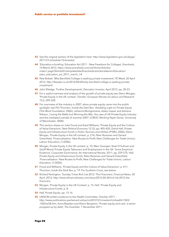- **43** See the original section of the legislation here: *http://www.legislation.gov.uk/ukpga/ 2011/21/schedule/12/enacted*.
- **44** 'Education e-briefing: Education Act 2011 New Freedoms for Colleges', *Eversheds*, 14 March 2012, *https://www.eversheds.com/uk/Home/Articles/ index1.page?ArticleID=templatedata/Eversheds/articles/data/en/Education/ educ\_education\_act\_2011\_march\_14*.
- **45** Pete Birkett, 'Why Barnfield College is seeking private investment', *FE Week*, 20 April 2012; *http://feweek.co.uk/2012/04/20/why-barnfield-college-is-seeking-privateinvestment/*.
- **46** John Elledge, 'Further Developments', *Education Investor*, April 2012. pp. 20-23.
- **47** For a useful overview and analysis of the growth of private equity see Glenn Morgan, 'Private Equity in the UK context', *Transfer: European Review of Labour and Research* 15,2, 209-228.
- **48** For overviews of the industry in 2007, when private equity came into the public spotlight, see Phil Thornton, *Inside the Dark Box: Shedding Light on Private Equity* (The Work Foundation, 2006); Johanna Montgomerie, Adam Leaver and Adriana Nilsson, 'Losing the Battle but Winning the War: the case of UK Private Equity Industry and the mediated scandal of summer 2007', (*CRESC Working Paper Series*: University of Manchester, 2008).
- **49** This section draws on Julie Froud and Karel Williams, 'Private Equity and the Culture of Value Extraction', *New Political Economy* 12 (3), pp. 405-420; David Hall, *Private Equity and Infrastructure Funds in Public Services and Utilities* (PSIRU, 2006), Glenn Morgan, 'Private Equity in the UK context', p. 214; Peter Rossman and Gerard Greenfield, 'Financialisation: New Routes to Profit, New Challenges for Trade Unions', *Labour Education*, (1/2006).
- **50** Morgan, Private Equity in the UK context', p. 10; Marc Goergen, Noel O'Sullivan and Geoff Wood, Private Equity Takeovers and Employment in the UK: Some Empirical Evidence', *Corporate Governance: An International Review*, 2011, pp. 259-275; Hall, *Private Equity and Infrastructure Funds*, Peter Rossman and Gerard Greenfield, 'Financialisation: New Routes to Profit, New Challenges for Trade Unions', *Labour Education*, (1/2006).
- **51** Froud and Williams, 'Private Equity and the Culture of Value Extraction', p. 411; Thornton, *Inside the Dark Box*, p. 19. For Southern Cross, see below.
- **52** Richard Partington, 'Sunday Times Rich List 2012: The Financiers', *Financial News*, 30 April, 2012; *http://www.efinancialnews.com/story/2012-04-30/rich-list-2012-thefinanciers*.
- **53** Morgan, 'Private Equity in the UK Context', p. 15, Hall, 'Private Equity and Infrastructure Funds', p. 8,
- **54** Hall, *Private Equity*, pp. 13-16.
- **55** UNISON written evidence to the Health Committee, October 2011: *http://www.publications.parliament.uk/pa/cm201012/cmselect/cmhealth/1583/ 1583vw58.htm*; Anna Bawden and Alison Benjamin, 'Private equity and care: a sector propped up by debt', *The Guardian*, 1 November 2011.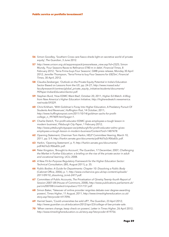- **56** Simon Goodley, 'Southern Cross care fiasco sheds light on secretive world of private equity', *The Guardian*, 3 June 2012.
- **57** *http://www.unison.org.uk/asppresspack/pressrelease\_view.asp?id=2325*; Simon Mundy, 'Four Seasons Races to Refinance £780 m in debt', *Financial Times*, 8 February 2012; 'Terra Firma buys Four Seasons', GMB press release, Monday 30 April 2012; Jennifer Thompson, 'Terra Firma to buy Four Seasons for £825m', *Financial Times*, 30 April, 2012.
- **58** Claudia Zeisberger, 'Outlook on the Private Equity Potential in India's Education Sector Based on Lessons from the US', pp. 24-27; *http://www.insead.edu/ facultyresearch/centres/global\_private\_equity\_initiative/students/documents/ PEPaper-IndianEducationSector.pdf*.
- **59** Stephen Burd, 'How EDMC Went Bad', October 20, 2011, *Higher Ed Watch: A Blog from New America's Higher Education Initiative*; *http://higheredwatch.newamerica. net/node/59329*.
- **60** Chris Kirkham, 'With Goldman's Foray Into Higher Education, A Predatory Pursuit Of Students And Revenues', *Huffington Post*, 14 October, 2011; *http://www.huffingtonpost.com/2011/10/14/goldman-sachs-for-profitcollege\_n\_997409.html?page=1*.
- **61** Charlie Deitch, 'For-profit educator EDMC gives employees a tough lesson in modern business', *Pittsburgh City Paper*, 1 February 2012; *http://www.pittsburghcitypaper.ws/pittsburgh/for-profit-educator-edmc-givesemployees-a-tough-lesson-in-modern-business/Content?oid=1487478*.
- **62** Opening Statement, Chairman Tom Harkin, HELP Committee Hearing, March 10, 2011, pp. 5-9, *http://harkin.senate.gov/documents/pdf/4d7e2c906a83c.pdf*.
- **63** Harkin, 'Opening Statement', p. 9, *http://harkin.senate.gov/documents/ pdf/4d7e2c906a83c.pdf*.
- **64** Peter Kingston, 'Brought to Account', *The Guardian*, 17 December, 2007; *Challenging the Market in Further Education: a briefing on the rise of the private sector in adult and vocational learning*, UCU, 2008.
- **65** *A New Fit-for-Purpose Regulatory Framework for the Higher Education Sector: Technical Consultation*, (BIS, August 2011), p. 35.
- **66** *Public Bodies: A Guide for Departments: Chapter 10: Dissolving a Public Body* (Cabinet Office, 2006), p. 1; *http://www.civilservice.gov.uk/wp-content/uploads/ 2011/09/10\_dissolving\_tcm6-2477.pdf*.
- **67** Committee of Public Accounts, *The Privatisation of Qinetiq:Twenty–fourth Report of Session 2007–08* (House of Commons, 2008), *http://www.publications.parliament.uk/ pa/cm200708/cmselect/cmpubacc/151/151.pdf*.
- **68** Simon Baker, 'Takeover of online provider reignites debate over degree-awarding powers', *Times Higher*, 11 August, 2011, *http://www.timeshighereducation.co.uk/ story.asp?storycode=417096*.
- **69** Harriet Swain, 'Could universities be sold off?', *The Guardian*, 23 April 2012; *http://www.guardian.co.uk/education/2012/apr/23/college-of-law-private-sale*.
- **70** 'When owners change, keep check on powers', Letter in *Times Higher*, 26 April 2012; *http://www.timeshighereducation.co.uk/story.asp?storycode=419756*.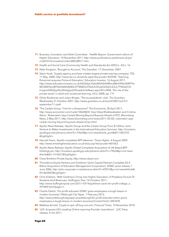- **71** Business, Innovation and Skills Committee Twelfth Report: Government reform of Higher Education, 10 November 2011, *http://www.publications.parliament.uk/pa/ cm201012/cmselect/cmbis/885/88511.htm*.
- **72** Health and Social Care (Community Health and Standards) Act 2003 (c. 43) s. 16.
- **73** Peter Kingston, 'Brought to Account', *The Guardian*, 17 December, 2007.
- **74** Steve Hook, 'Supply agency purchase creates largest private training company', TES, 11 May, 2008, http://www.tes.co.uk/article.aspx?storycode=343938; 'Teaching Personnel acquires Protocol Education', Education Investor, 16 August 2011, *http://www.educationinvestor.co.uk/(A(V66pL9qSzAEkAAAAMmJjMmVhNmEtMTYw MC00NTkyLWFiN2QtNGRjNDc5YTM0ZGJlT4slULGYcpZQ3GbCAJCy7T9kDz01)S (rnjspo55ftd2yy45o2khdgqe))/ShowArticleNews.aspx?ID=2404*; *The rise of the private sector in adult and vocational learning*, UCU, 2008, pp. 7-9.
- **75** Oliver Burkeman and Julian Borger, 'The ex-presidents' club', *The Guardian*, Wednesday 31 October 2001, *http://www.guardian.co.uk/world/2001/oct/31/ september11.usa4*.
- **76** 'The Carlyle Group: Time for a threesome?' *The Economist*, 28 April 2011, *http://www.economist.com/node/18620824*; Sree Vidya Bhaktavatsalam and Cristina Alesci, 'Rubenstein Says Carlyle Moving Beyond Buyouts Ahead of IPO', *Bloomberg News*, 2 May 2011, *http://www.bloomberg.com/news/2011-05-02/ rubenstein-sayscarlyle-moving-beyond-buyouts-ahead-of-ipo.html*.
- **77** Apollo News Release, 'Apollo Group and the Carlyle Group Form \$1 Billion Joint Venture to Make Investments in the International Education Services', *http://investors. apollogrp.edu/phoenix.zhtml?c=79624&p=irol-newsArticle\_print&ID=1065753 &highlight=*.
- **78** Hannah Fearn, 'Apollo completes BPP takeover', *Times Higher*, 4 August 2009, *http://www.timeshighereducation.co.uk/story.asp?storycode=407663*.
- **79** Apollo News Release: Apollo Global Completes Acquisition of UK-Based BPP Holdings plc, *http://investors.apollogrp.edu/phoenix.zhtml?c=79624&p=irol-news Article&ID=1314231&highlight=.*
- **80** Close Brothers Private Equity, *http://www.cbpel.com*.
- **81** 'Providence Equity Partners and Goldman Sachs Capital Partners Complete \$3.4 Billion Acquisition of Education Management Corporation', *EDMC press release*, 1 June 2006, *http://phx.corporate-ir.net/phoenix.zhtml?c=87813&p=irol-newsArticle& ID=863007&highlight=*.
- **82** Chris Kirkham, 'With Goldman's Foray Into Higher Education, A Predatory Pursuit Of Students And Revenues', *Huffington Post*, 14 October, 2011; *http://www.huffingtonpost.com/2011/10/14/goldman-sachs-for-profit-college\_n\_ 997409.html?page=1*.
- **83** Charlie Deitch, 'For-profit educator EDMC gives employees a tough lesson in modern business', *Pittsburgh City Paper*, 1 February 2012, *http://www.pittsburghcitypaper.ws/pittsburgh/for-profit-educator-edmc-givesemployees-a-tough-lesson-in-modern-business/Content?oid=1487478*.
- **84** Matthew Arnold, 'Lloyds to spin off buy-out arm', *Financial Times*, 14 November 2010.
- **85** 'LDC Acquires UK's Leading Online Learning Provider Learndirect' , LDC Press release, 4 Oct 2011.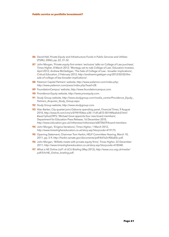- **86** David Hall, *Private Equity and Infrastructure Funds in Public Services and Utilities* (PSIRU, 2006), pp, 22, 31-32.
- **87** John Morgan, 'Private equity firm enters 'exclusive' talks on College of Law purchase', *Times Higher*, 8 March 2012; 'Montagu set to nab College of Law', Education Investor, April 2012; Andrew McGettigan, 'The Sale of College of Law - broader implications', *Critical Education*, 2 February 2012, *http://andrewmcgettigan.org/2012/02/02/thesale-of-college-of-law-broader-implications/*.
- **88** Palamon Capital Partners' website, *http://www.palamon.com/index.php; http://www.palamon.com/press/index.php?read=28*.
- **89** FoundationCampus' website, *http://www.foundationcampus.com*.
- **90** Providence Equity website, *http://www.provequity.com*.
- **91** Study Group website, *http://www.studygroup.com/media\_centre/Providence\_Equity\_ Partners\_Acquires\_Study\_Group.aspx.*
- **92** Study Group website, *http://www.studygroup.com*.
- **93** Alan Barker, City quartet joins Osborne spending panel, *Financial Times*, 9 August 2010, *http://www.ft.com/cms/s/0/941f54ee-a3fc-11df-a872-00144feabdc0.html #axzz1qVueO9FS*; 'Michael Gove appoints four new board members', Department for Education Press Release, 16 December 2010, *http://www.education.gov.uk/inthenews/inthenews/a0070659/board-members*.
- **94** John Morgan, 'Enigma Variations', *Times Higher*, 1 March 2012, *http://www.timeshighereducation.co.uk/story.asp?storycode=419175*.
- **95** Opening Statement, Chairman Tom Harkin, HELP Committee Hearing, March 10, 2011, pp. 5-9, *http://harkin.senate.gov/documents/pdf/4d7e2c906a83c.pdf*.
- **96** John Morgan, 'Willetts meets with private equity firms', *Times Higher*, 22 December 2011; *http://www.timeshighereducation.co.uk/story.asp?storycode=418548*.
- **97** *What is HE Online Ltd?: A UCU Briefing* (May 2012), *http://www.ucu.org.uk/media/ pdf/5/h/HE\_Online\_briefing.pdf*.